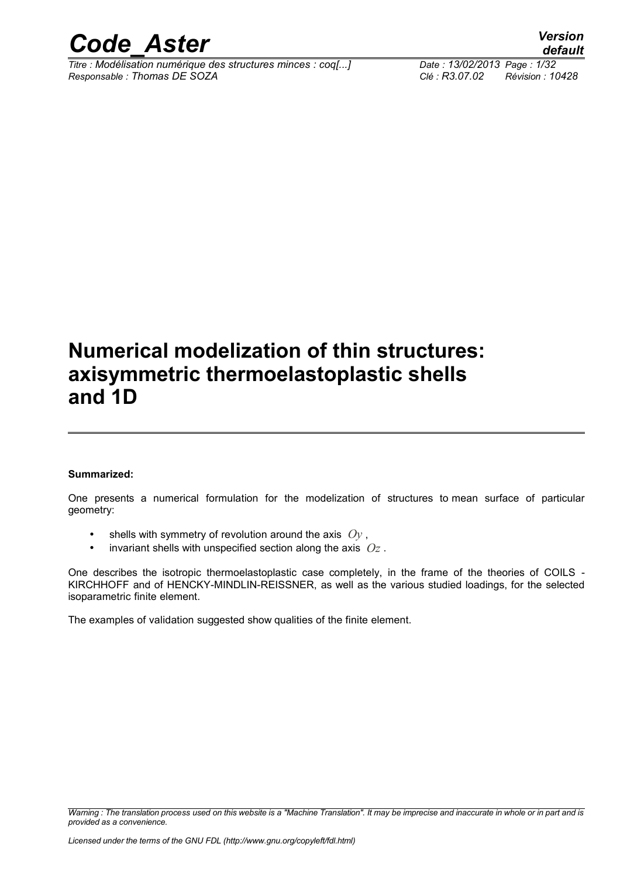

*Titre : Modélisation numérique des structures minces : coq[...] Date : 13/02/2013 Page : 1/32 Responsable : Thomas DE SOZA Clé : R3.07.02 Révision : 10428*

*default*

### **Numerical modelization of thin structures: axisymmetric thermoelastoplastic shells and 1D**

#### **Summarized:**

One presents a numerical formulation for the modelization of structures to mean surface of particular geometry:

- shells with symmetry of revolution around the axis *Oy* ,
- invariant shells with unspecified section along the axis *Oz* .

One describes the isotropic thermoelastoplastic case completely, in the frame of the theories of COILS - KIRCHHOFF and of HENCKY-MINDLIN-REISSNER, as well as the various studied loadings, for the selected isoparametric finite element.

The examples of validation suggested show qualities of the finite element.

*Warning : The translation process used on this website is a "Machine Translation". It may be imprecise and inaccurate in whole or in part and is provided as a convenience.*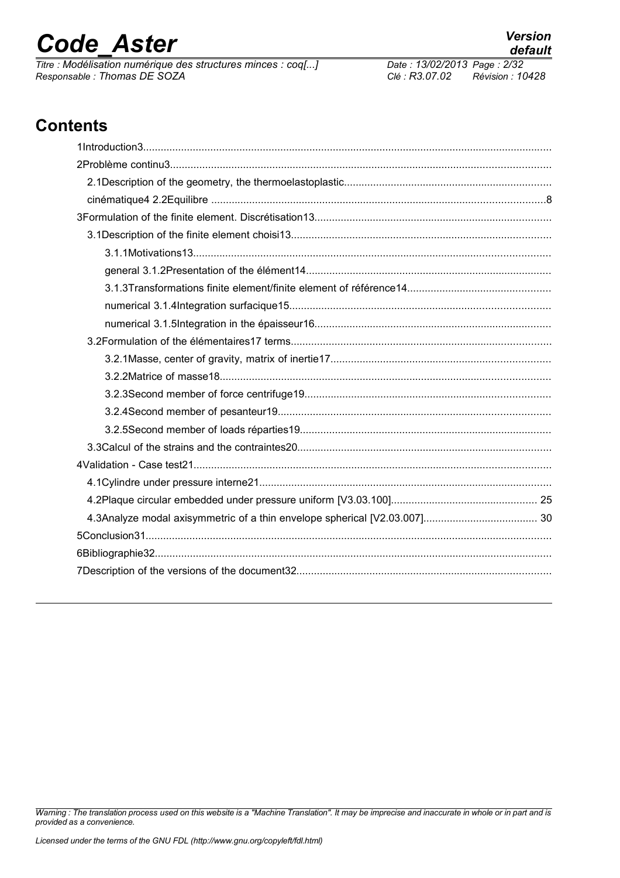*Titre : Modélisation numérique des structures minces : coq[...] Date : 13/02/2014 Page : 713/02/2013 Page : 713/02/2013 Page : Page : Page : Page : Page : Page : Page : Page : Page : Page : Page : Page : Page : Pa Responsable : Thomas DE SOZA Clé : R3.07.02 Révision : 10428*

### **Contents**

*Warning : The translation process used on this website is a "Machine Translation". It may be imprecise and inaccurate in whole or in part and is provided as a convenience.*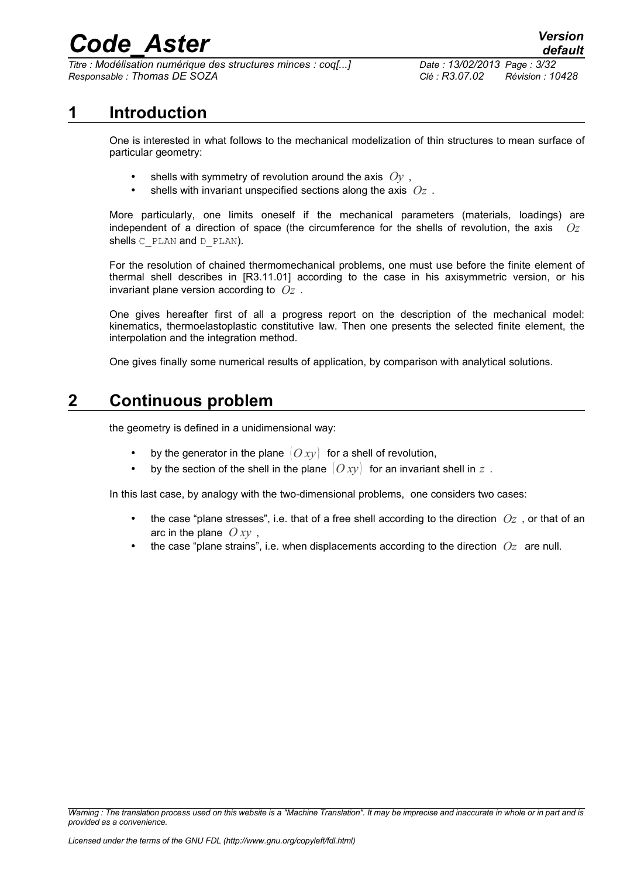*Titre : Modélisation numérique des structures minces : coq[...] Date : 13/02/2013 Page : 3/32 Responsable : Thomas DE SOZA Clé : R3.07.02 Révision : 10428*

*default*

### **1 Introduction**

One is interested in what follows to the mechanical modelization of thin structures to mean surface of particular geometry:

- shells with symmetry of revolution around the axis *Oy* ,
- shells with invariant unspecified sections along the axis *Oz* .

More particularly, one limits oneself if the mechanical parameters (materials, loadings) are independent of a direction of space (the circumference for the shells of revolution, the axis *Oz* shells C\_PLAN and D\_PLAN).

For the resolution of chained thermomechanical problems, one must use before the finite element of thermal shell describes in [R3.11.01] according to the case in his axisymmetric version, or his invariant plane version according to *Oz* .

One gives hereafter first of all a progress report on the description of the mechanical model: kinematics, thermoelastoplastic constitutive law. Then one presents the selected finite element, the interpolation and the integration method.

One gives finally some numerical results of application, by comparison with analytical solutions.

### **2 Continuous problem**

the geometry is defined in a unidimensional way:

- by the generator in the plane  $[O_{xV}]$  for a shell of revolution,
- by the section of the shell in the plane  $(Oxy)$  for an invariant shell in  $z$ .

In this last case, by analogy with the two-dimensional problems, one considers two cases:

- the case "plane stresses", i.e. that of a free shell according to the direction *Oz* , or that of an arc in the plane  $Oxy$ ,
- the case "plane strains", i.e. when displacements according to the direction *Oz* are null.

*Warning : The translation process used on this website is a "Machine Translation". It may be imprecise and inaccurate in whole or in part and is provided as a convenience.*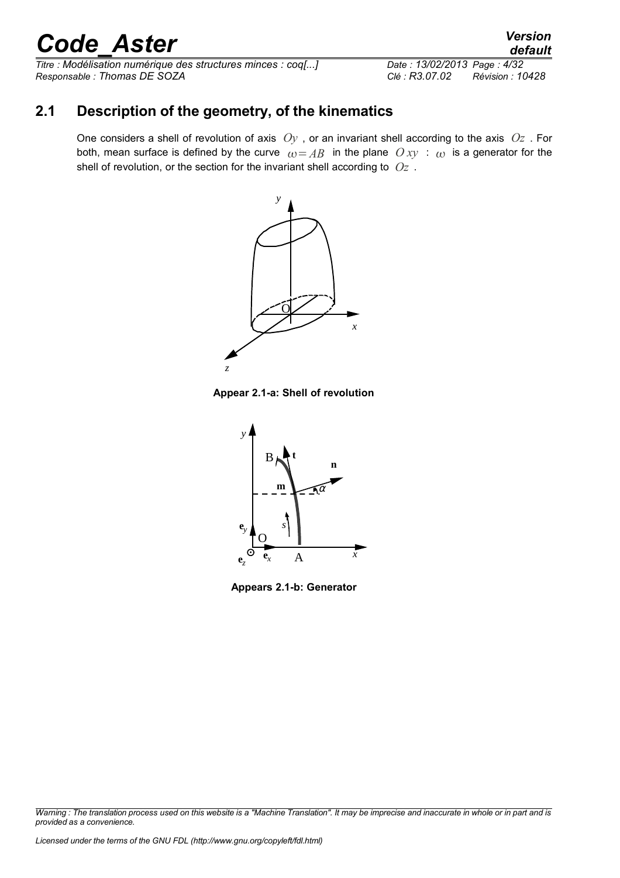*Titre : Modélisation numérique des structures minces : coq[...] Date : 13/02/2013 Page : 4/32 Responsable : Thomas DE SOZA Clé : R3.07.02 Révision : 10428*

### **2.1 Description of the geometry, of the kinematics**

One considers a shell of revolution of axis *Oy* , or an invariant shell according to the axis *Oz* . For both, mean surface is defined by the curve  $\omega = AB$  in the plane  $O xy$  :  $\omega$  is a generator for the shell of revolution, or the section for the invariant shell according to *Oz* .



**Appear 2.1-a: Shell of revolution**



**Appears 2.1-b: Generator**

*Warning : The translation process used on this website is a "Machine Translation". It may be imprecise and inaccurate in whole or in part and is provided as a convenience.*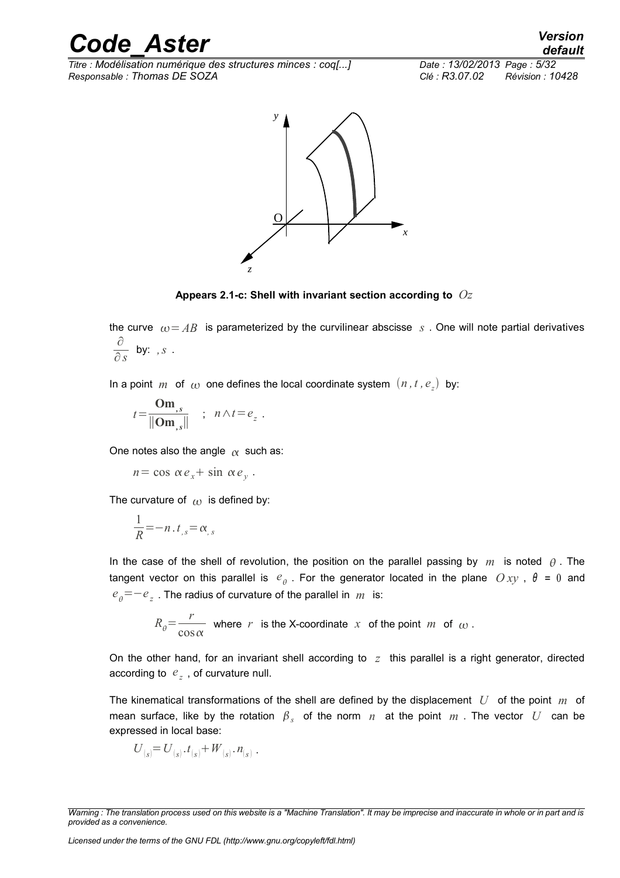*Titre : Modélisation numérique des structures minces : coq[...] Date : 13/02/2013 Page : 5/32 Responsable : Thomas DE SOZA Clé : R3.07.02 Révision : 10428*



**Appears 2.1-c: Shell with invariant section according to** *Oz*

the curve  $\omega = AB$  is parameterized by the curvilinear abscisse *s* . One will note partial derivatives ∂  $\frac{\partial}{\partial s}$  by: *, s* .

In a point  $m$  of  $\omega$  one defines the local coordinate system  $(n, t, e_z)$  by:

$$
t = \frac{\mathbf{Om}_{,s}}{\|\mathbf{Om}_{,s}\|} \quad ; \quad n \wedge t = e_{_z} \; .
$$

One notes also the angle  $\alpha$  such as:

 $n = \cos \alpha e_x + \sin \alpha e_y$ .

The curvature of  $\omega$  is defined by:

$$
\frac{1}{R} = -n \cdot t_{,s} = \alpha_{,s}
$$

In the case of the shell of revolution, the position on the parallel passing by *m* is noted  $\theta$ . The tangent vector on this parallel is  $e_{\theta}$  . For the generator located in the plane  $Oxy$  ,  $\theta$  = 0 and  $e_{\scriptscriptstyle{\theta}}^{\scriptscriptstyle}=\!-e_{\scriptscriptstyle{\text{z}}}^{\scriptscriptstyle -}$  . The radius of curvature of the parallel in  $\scriptstyle{m}^{\scriptscriptstyle -}$  is:

$$
R_{\theta} = \frac{r}{\cos \alpha} \text{ where } r \text{ is the X-coordinate } x \text{ of the point } m \text{ of } \omega.
$$

On the other hand, for an invariant shell according to *z* this parallel is a right generator, directed according to *e <sup>z</sup>* , of curvature null.

The kinematical transformations of the shell are defined by the displacement *U* of the point *m* of mean surface, like by the rotation  $\beta_s$  of the norm  $n$  at the point  $m$  . The vector  $|U|$  can be expressed in local base:

$$
U_{(s)} = U_{(s)} \cdot t_{(s)} + W_{(s)} \cdot n_{(s)} \; .
$$

*Warning : The translation process used on this website is a "Machine Translation". It may be imprecise and inaccurate in whole or in part and is provided as a convenience.*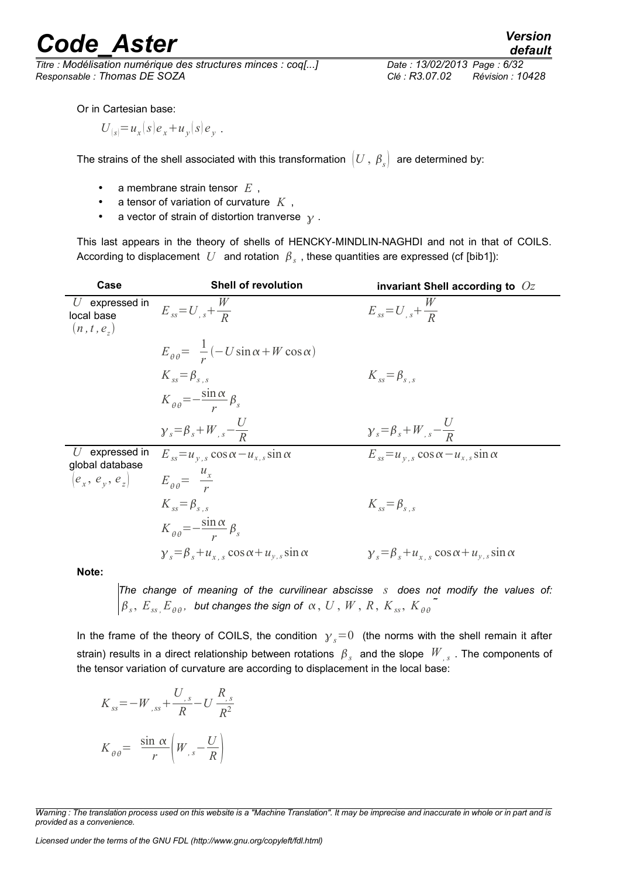*Titre : Modélisation numérique des structures minces : coq[...] Date : 13/02/2013 Page : 6/32 Responsable : Thomas DE SOZA Clé : R3.07.02 Révision : 10428*

Or in Cartesian base:

$$
U_{|s|} = u_x(s)e_x + u_y(s)e_y
$$
.

The strains of the shell associated with this transformation  $(U, \beta_s)$  are determined by:

- a membrane strain tensor *E* ,
- a tensor of variation of curvature *K* ,
- a vector of strain of distortion tranverse  $\gamma$ .

This last appears in the theory of shells of HENCKY-MINDLIN-NAGHDI and not in that of COILS. According to displacement  $|U|$  and rotation  $|\beta_{|_S}$  , these quantities are expressed (cf [bib1]):

| Case                                                      | <b>Shell of revolution</b>                                       | invariant Shell according to $Oz$                                |
|-----------------------------------------------------------|------------------------------------------------------------------|------------------------------------------------------------------|
| $U$ expressed in<br>local base<br>(n, t, e <sub>z</sub> ) | $E_{ss} = U_{,s} + \frac{W}{R}$                                  | $E_{ss} = U_{,s} + \frac{W}{R}$                                  |
|                                                           | $E_{\theta\theta} = \frac{1}{r}(-U\sin\alpha + W\cos\alpha)$     |                                                                  |
|                                                           | $K_{ss} = \beta_{s}$                                             | $K_{ss} = \beta_{s}$                                             |
|                                                           | $K_{\theta\theta} = -\frac{\sin\alpha}{r}\beta_s$                |                                                                  |
|                                                           | $y_s = \beta_s + W_{,s} - \frac{U}{R}$                           | $\gamma_s = \beta_s + W_{,s} - \frac{U}{R}$                      |
| expressed in<br>$\iota$<br>global database                | $E_{ss} = u_{v,s} \cos \alpha - u_{x,s} \sin \alpha$             | $E_{ss} = u_{v,s} \cos \alpha - u_{x,s} \sin \alpha$             |
| $ e_{x}, e_{y}, e_{z} $                                   | $E_{\theta\theta} = \frac{u_x}{u_x}$                             |                                                                  |
|                                                           | $K_{ss} = \beta_{s}$                                             | $K_{\rm sc} = \beta_{\rm sc}$                                    |
|                                                           | $K_{\theta\theta} = -\frac{\sin\alpha}{n} \beta_s$               |                                                                  |
|                                                           | $\gamma_s = \beta_s + u_{x,s} \cos \alpha + u_{y,s} \sin \alpha$ | $\gamma_s = \beta_s + u_{x_s} \cos \alpha + u_{y_s} \sin \alpha$ |
|                                                           |                                                                  |                                                                  |

**Note:**

*The change of meaning of the curvilinear abscisse s does not modify the values of:*  $\beta_{\textit{s}},\ E_{\textit{ss}}, E_{\theta\theta},\ \textit{but changes the sign of }\alpha,\ U\,,\,W\,,\,R\,,\,K_{\textit{ss}},\,K_{\theta\theta}$ 

In the frame of the theory of COILS, the condition  $y_s=0$  (the norms with the shell remain it after strain) results in a direct relationship between rotations  $\ \beta_{_S} \ \$  and the slope  $\ W_{_{',S}}$  . The components of the tensor variation of curvature are according to displacement in the local base:

$$
K_{ss} = -W_{,ss} + \frac{U_{,s}}{R} - U\frac{R_{,s}}{R^2}
$$

$$
K_{\theta\theta} = \frac{\sin\alpha}{r} \left(W_{,s} - \frac{U}{R}\right)
$$

*Licensed under the terms of the GNU FDL (http://www.gnu.org/copyleft/fdl.html)*

*Warning : The translation process used on this website is a "Machine Translation". It may be imprecise and inaccurate in whole or in part and is provided as a convenience.*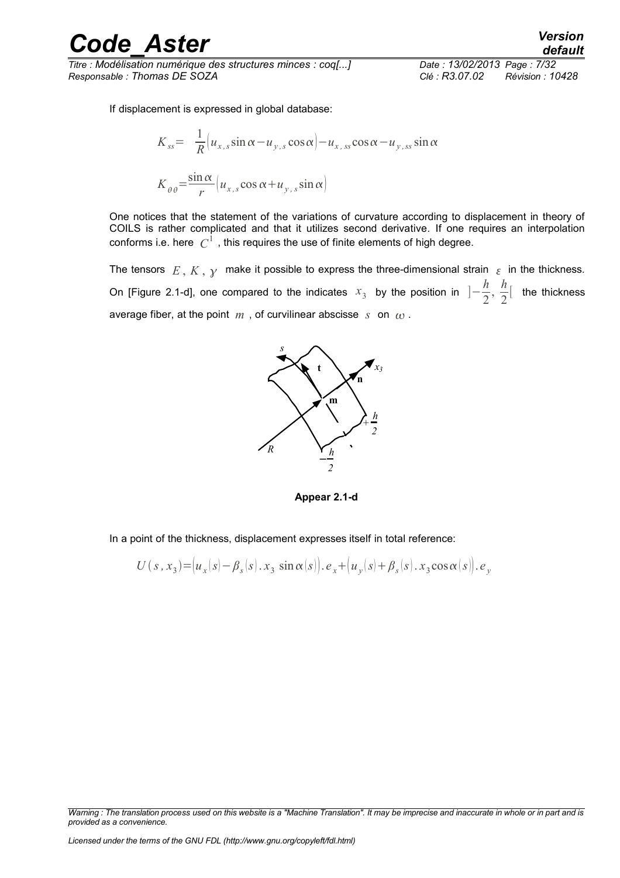*Titre : Modélisation numérique des structures minces : coq[...] Date : 13/02/2013 Page : 7/32 Responsable : Thomas DE SOZA Clé : R3.07.02 Révision : 10428*

If displacement is expressed in global database:

$$
K_{ss} = \frac{1}{R} \left( u_{x,s} \sin \alpha - u_{y,s} \cos \alpha \right) - u_{x,s} \cos \alpha - u_{y,ss} \sin \alpha
$$

$$
K_{\theta\theta} = \frac{\sin \alpha}{r} \left( u_{x,s} \cos \alpha + u_{y,s} \sin \alpha \right)
$$

One notices that the statement of the variations of curvature according to displacement in theory of COILS is rather complicated and that it utilizes second derivative. If one requires an interpolation conforms i.e. here  $\;C^1\;$  , this requires the use of finite elements of high degree.

The tensors  $E, K, \gamma$  make it possible to express the three-dimensional strain  $\epsilon$  in the thickness. On [Figure 2.1-d], one compared to the indicates  $x_3$  by the position in  $]-\frac{h}{2}$  $\frac{h}{2}$ ,  $\frac{h}{2}$  $\frac{n}{2}$  the thickness average fiber, at the point  $m$ , of curvilinear abscisse  $s$  on  $\omega$ .



**Appear 2.1-d**

In a point of the thickness, displacement expresses itself in total reference:

$$
U(s, x_3) = (u_x(s) - \beta_s(s) \cdot x_3 \sin \alpha(s)), e_x + (u_y(s) + \beta_s(s) \cdot x_3 \cos \alpha(s)), e_y
$$

*Warning : The translation process used on this website is a "Machine Translation". It may be imprecise and inaccurate in whole or in part and is provided as a convenience.*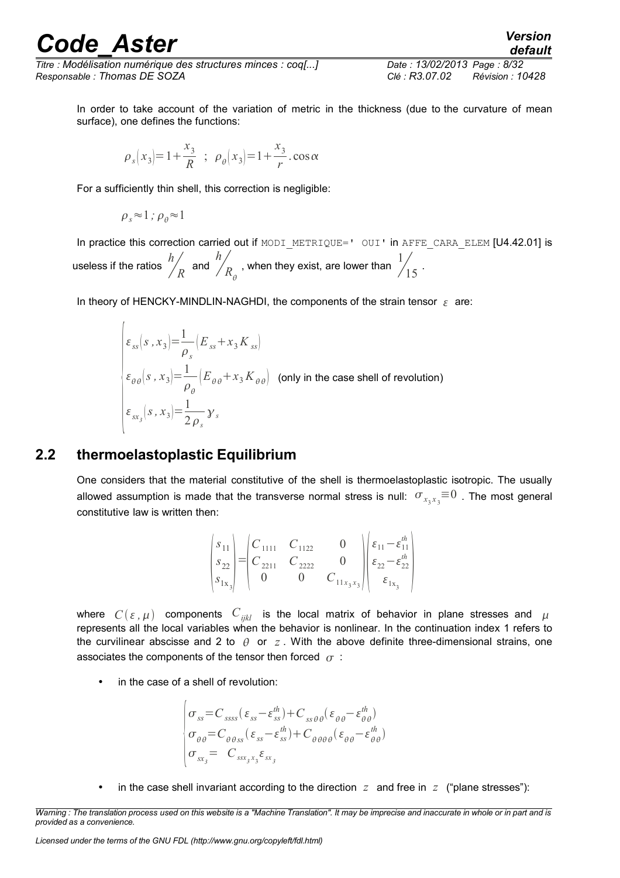*Titre : Modélisation numérique des structures minces : coq[...] Date : 13/02/2013 Page : 8/32 Responsable : Thomas DE SOZA Clé : R3.07.02 Révision : 10428*

In order to take account of the variation of metric in the thickness (due to the curvature of mean surface), one defines the functions:

$$
\rho_s(x_3) = 1 + \frac{x_3}{R}
$$
;  $\rho_\theta(x_3) = 1 + \frac{x_3}{r} \cdot \cos \alpha$ 

For a sufficiently thin shell, this correction is negligible:

$$
\rho_s\!\approx\!1\,;\rho_\theta\!\approx\!1
$$

In practice this correction carried out if MODI\_METRIQUE=' OUI' in AFFE\_CARA\_ELEM [U4.42.01] is useless if the ratios *<sup>h</sup>*  $R$  and *h*  $R_\theta$ , when they exist, are lower than  $\frac{1}{4}$  $\frac{1}{15}$ .

In theory of HENCKY-MINDLIN-NAGHDI, the components of the strain tensor  $\varepsilon$  are:

$$
\begin{cases}\n\varepsilon_{ss}(s, x_3) = \frac{1}{\rho_s} \left( E_{ss} + x_3 K_{ss} \right) \\
\varepsilon_{\theta\theta}(s, x_3) = \frac{1}{\rho_\theta} \left( E_{\theta\theta} + x_3 K_{\theta\theta} \right) \quad \text{(only in the case shell of revolution)} \\
\varepsilon_{sx_s}(s, x_3) = \frac{1}{2\rho_s} \gamma_s\n\end{cases}
$$

### **2.2 thermoelastoplastic Equilibrium**

One considers that the material constitutive of the shell is thermoelastoplastic isotropic. The usually allowed assumption is made that the transverse normal stress is null:  $\sigma_{x_3x_3} \equiv 0$  . The most general constitutive law is written then:

$$
\begin{pmatrix} s_{11} \\ s_{22} \\ s_{1x_3} \end{pmatrix} = \begin{pmatrix} C_{1111} & C_{1122} & 0 \\ C_{2211} & C_{2222} & 0 \\ 0 & 0 & C_{11x_3x_3} \end{pmatrix} \begin{pmatrix} \varepsilon_{11} - \varepsilon_{11}^{th} \\ \varepsilon_{22} - \varepsilon_{22}^{th} \\ \varepsilon_{1x_3} \end{pmatrix}
$$

where  $C(\varepsilon, \mu)$  components  $C_{ijkl}$  is the local matrix of behavior in plane stresses and  $\mu$ represents all the local variables when the behavior is nonlinear. In the continuation index 1 refers to the curvilinear abscisse and 2 to  $\theta$  or  $z$ . With the above definite three-dimensional strains, one associates the components of the tensor then forced  $\sigma$ :

in the case of a shell of revolution:

$$
\begin{vmatrix}\n\sigma_{ss} = C_{ssss} (\varepsilon_{ss} - \varepsilon_{ss}^{th}) + C_{ss\theta\theta} (\varepsilon_{\theta\theta} - \varepsilon_{\theta\theta}^{th}) \\
\sigma_{\theta\theta} = C_{\theta\theta ss} (\varepsilon_{ss} - \varepsilon_{ss}^{th}) + C_{\theta\theta\theta\theta} (\varepsilon_{\theta\theta} - \varepsilon_{\theta\theta}^{th}) \\
\sigma_{sx_{3}} = C_{sx_{3}x_{3}} \varepsilon_{sx_{3}}\n\end{vmatrix}
$$

in the case shell invariant according to the direction  $z$  and free in  $z$  ("plane stresses"):

*Warning : The translation process used on this website is a "Machine Translation". It may be imprecise and inaccurate in whole or in part and is provided as a convenience.*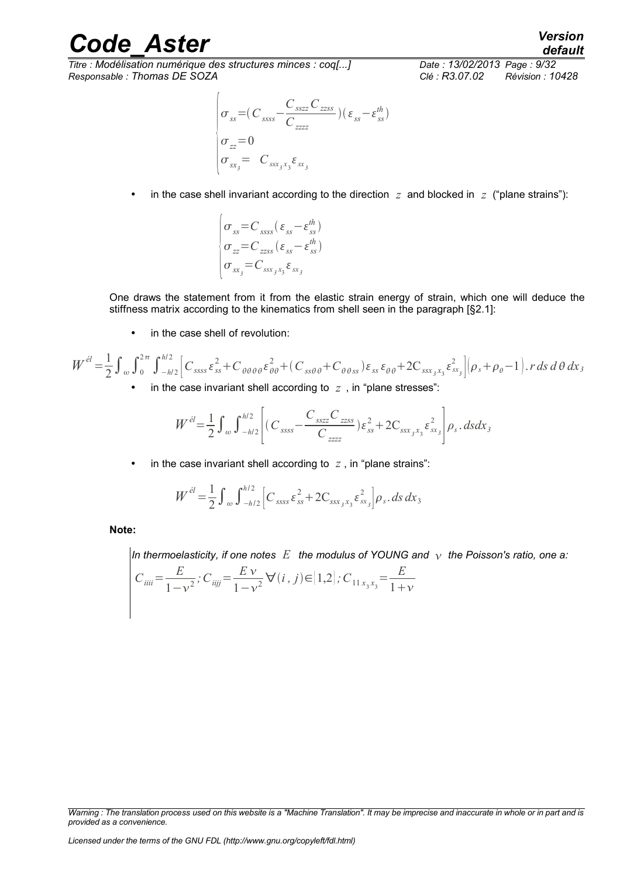*Titre : Modélisation numérique des structures minces : coq[...] Date : 13/02/2013 Page : 9/32 Responsable : Thomas DE SOZA Clé : R3.07.02 Révision : 10428*

*default*

$$
\begin{vmatrix}\n\sigma_{ss} = (C_{ssss} - \frac{C_{sszz}C_{zzss}}{C_{zzzz}})(\varepsilon_{ss} - \varepsilon_{ss}^{th}) \\
\sigma_{zz} = 0 \\
\sigma_{ss_3} = C_{sss_3s_3} \varepsilon_{ss_3}\n\end{vmatrix}
$$

in the case shell invariant according to the direction  $z$  and blocked in  $z$  ("plane strains"):

$$
\begin{cases}\n\sigma_{ss} = C_{ssss} (\varepsilon_{ss} - \varepsilon_{ss}^{th}) \\
\sigma_{zz} = C_{zzss} (\varepsilon_{ss} - \varepsilon_{ss}^{th}) \\
\sigma_{sx_j} = C_{ssx_jx_j} \varepsilon_{sx_j}\n\end{cases}
$$

One draws the statement from it from the elastic strain energy of strain, which one will deduce the stiffness matrix according to the kinematics from shell seen in the paragraph [§2.1]:

• in the case shell of revolution:

$$
W^{\dot{e}l} = \frac{1}{2} \int_{\omega} \int_{0}^{2\pi} \int_{-h/2}^{h/2} \left[ C_{ssss} \varepsilon_{ss}^{2} + C_{\theta\theta\theta\theta} \varepsilon_{\theta\theta}^{2} + (C_{ss\theta\theta} + C_{\theta\theta ss}) \varepsilon_{ss} \varepsilon_{\theta\theta} + 2C_{ssx_{3}x_{3}} \varepsilon_{sx_{3}}^{2} \right] \left[ \rho_{s} + \rho_{\theta} - 1 \right] \cdot r \, ds \, d\theta \, dx_{3}
$$

• in the case invariant shell according to *z* , in "plane stresses":

$$
W^{el} = \frac{1}{2} \int_{\omega} \int_{-h/2}^{h/2} \left[ (C_{ssss} - \frac{C_{sszz}C_{zzss}}{C_{zzzz}}) \varepsilon_{ss}^2 + 2C_{ssx}^2 \varepsilon_{sx}^2 \right] \rho_s \, ds \, dx_s
$$

• in the case invariant shell according to  $z$ , in "plane strains":

$$
W^{el} = \frac{1}{2} \int_{\omega} \int_{-h/2}^{h/2} \left[ C_{ssss} \varepsilon_{ss}^{2} + 2 C_{ssx_{3}x_{3}} \varepsilon_{sx_{3}}^{2} \right] \rho_{s} \, ds \, dx_{3}
$$

**Note:**

*In thermoelasticity, if one notes E the modulus of YOUNG and the Poisson's ratio, one a:*

$$
C_{iiii} = \frac{E}{1 - v^2}; C_{iijj} = \frac{E v}{1 - v^2} \forall (i, j) \in [1, 2]; C_{11 x_3 x_3} = \frac{E}{1 + v}
$$

*Warning : The translation process used on this website is a "Machine Translation". It may be imprecise and inaccurate in whole or in part and is provided as a convenience.*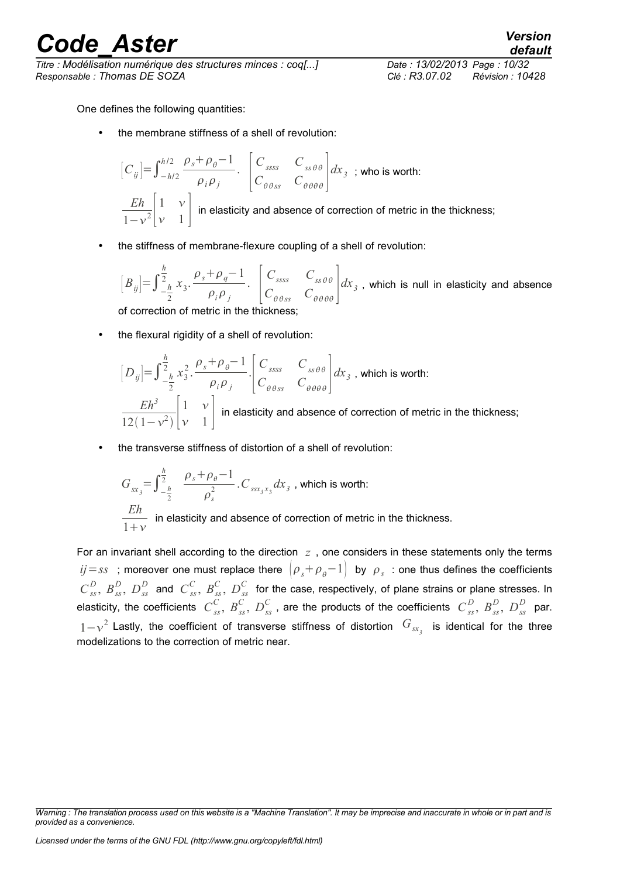*Titre : Modélisation numérique des structures minces : coq[...] Date : 13/02/2013 Page : 10/32 Responsable : Thomas DE SOZA Clé : R3.07.02 Révision : 10428*

*default*

One defines the following quantities:

the membrane stiffness of a shell of revolution:

$$
\begin{bmatrix} C_{ij} \end{bmatrix} = \int_{-h/2}^{h/2} \frac{\rho_s + \rho_\theta - 1}{\rho_i \rho_j} \cdot \begin{bmatrix} C_{ssss} & C_{ss\theta\theta} \\ C_{\theta\theta ss} & C_{\theta\theta\theta\theta} \end{bmatrix} dx_3 \text{ ; who is worth:}
$$
  

$$
\frac{Eh}{1 - v^2} \begin{bmatrix} 1 & v \\ v & 1 \end{bmatrix} \text{ in elasticity and absence of correction of metric in the thickness;}
$$

• the stiffness of membrane-flexure coupling of a shell of revolution:

 $[B_{ij}]=\int_{-\frac{h}{2}}^{2}$ 2 *h*  $\frac{h}{2}$ <sub>k</sub>  $x_3 \cdot \frac{\rho_s + \rho_q - 1}{2}$  $\frac{r_q}{\rho_i \rho_j}$ .  $\left| \int_C$  $C$ <sup>*ssss</sub>*  $C$ <sup>*sss* $\theta \theta$ </sup></sup>  $C_{\theta \theta ss}$   $C_{\theta \theta \theta \theta}$  $dx_{\overline{\beta}}$  , which is null in elasticity and absence

of correction of metric in the thickness;

the flexural rigidity of a shell of revolution:

$$
\begin{aligned}\n[D_{ij}] &= \int_{-\frac{h}{2}}^{\frac{h}{2}} x_3^2 \cdot \frac{\rho_s + \rho_\theta - 1}{\rho_i \rho_j} \cdot \begin{bmatrix} C_{ssss} & C_{ss\theta\theta} \\ C_{\theta\theta ss} & C_{\theta\theta\theta\theta} \end{bmatrix} dx_3 \text{ , which is worth:} \\
\frac{Eh^3}{12(1 - v^2)} \begin{bmatrix} 1 & v \\ v & 1 \end{bmatrix} \text{ in elasticity and absence of correction of metric in the thickness;} \n\end{aligned}
$$

• the transverse stiffness of distortion of a shell of revolution:

$$
G_{sx_{3}} = \int_{-\frac{h}{2}}^{\frac{h}{2}} \frac{\rho_{s} + \rho_{\theta} - 1}{\rho_{s}^{2}} \cdot C_{ssx_{3}x_{3}} dx_{3}
$$
, which is worth:  
*Eh*  
 $\frac{Eh}{1 + v}$  in elasticity and absence of correction of metric in the thickness.

For an invariant shell according to the direction *z* , one considers in these statements only the terms  $ij\!=\!ss$  ; moreover one must replace there  $\left(\rho_{_S}+\rho_{_\theta}\!-\!1\right)$  by  $\rho_{_S}$  : one thus defines the coefficients  $C_{ss}^D$ ,  $B_{ss}^D$ ,  $D_{ss}^D$  and  $C_{ss}^C$ ,  $B_{ss}^C$ ,  $D_{ss}^C$  for the case, respectively, of plane strains or plane stresses. In elasticity, the coefficients  $\ C_{ss}^C, \ B_{ss}^C, \ D_{ss}^C$  , are the products of the coefficients  $\ C_{ss}^D, \ B_{ss}^D, \ D_{ss}^D$  par. 1- $v^2$  Lastly, the coefficient of transverse stiffness of distortion  $G_{sx^2}$  is identical for the three modelizations to the correction of metric near.

*Licensed under the terms of the GNU FDL (http://www.gnu.org/copyleft/fdl.html)*

*Warning : The translation process used on this website is a "Machine Translation". It may be imprecise and inaccurate in whole or in part and is provided as a convenience.*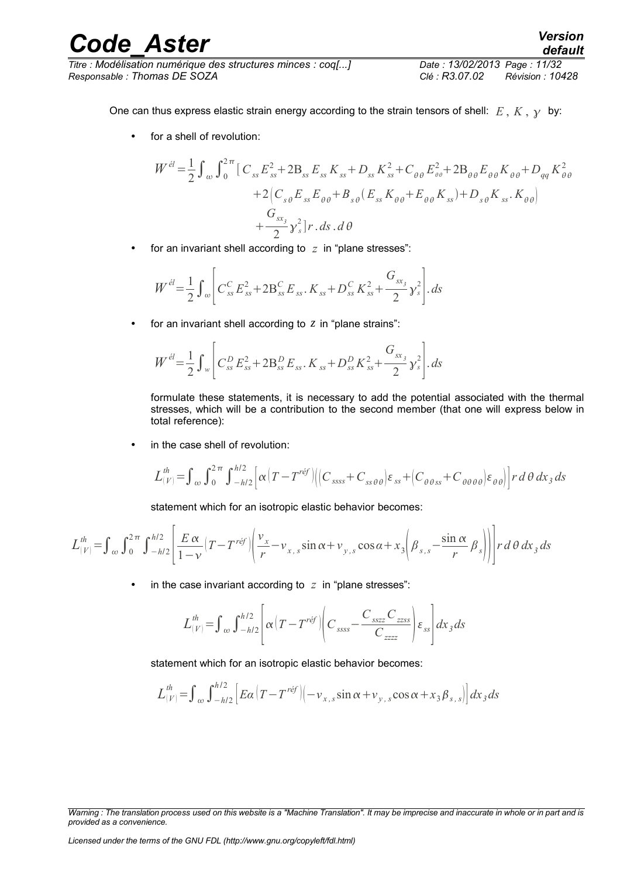*Titre : Modélisation numérique des structures minces : coq[...] Date : 13/02/2013 Page : 11/32 Responsable : Thomas DE SOZA Clé : R3.07.02 Révision : 10428*

One can thus express elastic strain energy according to the strain tensors of shell:  $E, K, \gamma$  by:

• for a shell of revolution:

$$
W^{\dot{e}l} = \frac{1}{2} \int_{\omega} \int_{0}^{2\pi} \left[ C_{ss} E_{ss}^{2} + 2B_{ss} E_{ss} K_{ss} + D_{ss} K_{ss}^{2} + C_{\theta \theta} E_{\theta \theta}^{2} + 2B_{\theta \theta} E_{\theta \theta} K_{\theta \theta} + D_{qq} K_{\theta \theta}^{2} \right] + 2 \left[ C_{s \theta} E_{ss} E_{\theta \theta} + B_{s \theta} (E_{ss} K_{\theta \theta} + E_{\theta \theta} K_{ss}) + D_{s \theta} K_{ss} K_{\theta \theta} \right] + \frac{G_{sx}}{2} y_{s}^{2} \left] r \cdot ds \cdot d\theta
$$

• for an invariant shell according to *z* in "plane stresses":

$$
W^{el} = \frac{1}{2} \int_{\omega} \left[ C_{ss}^{C} E_{ss}^{2} + 2 B_{ss}^{C} E_{ss}^{2} + D_{ss}^{C} K_{ss}^{2} + \frac{G_{sx_{3}}}{2} \gamma_{s}^{2} \right] ds
$$

• for an invariant shell according to *z* in "plane strains":

$$
W^{el} = \frac{1}{2} \int_{w} \left[ C_{ss}^{D} E_{ss}^{2} + 2B_{ss}^{D} E_{ss} . K_{ss} + D_{ss}^{D} K_{ss}^{2} + \frac{G_{sx_{s}}}{2} y_{s}^{2} \right]. ds
$$

formulate these statements, it is necessary to add the potential associated with the thermal stresses, which will be a contribution to the second member (that one will express below in total reference):

in the case shell of revolution:

 $\overline{a}$ 

$$
L_{(V)}^{th} = \int_{\omega} \int_{0}^{2\pi} \int_{-h/2}^{h/2} \left[ \alpha \left( T - T^{\text{ref}} \right) \left( \left( C_{ssss} + C_{ss\theta\theta} \right) \varepsilon_{ss} + \left( C_{\theta\theta ss} + C_{\theta\theta\theta\theta} \right) \varepsilon_{\theta\theta} \right) \right] r \, d\theta \, dx_{3} \, ds
$$

statement which for an isotropic elastic behavior becomes:

$$
L_{(V)}^{th} = \int_{\alpha}^{\alpha} \int_{0}^{2\pi} \int_{-h/2}^{h/2} \left[ \frac{E\alpha}{1-v} \left( T - T^{\text{ref}} \right) \left( \frac{v_x}{r} - v_{x,\text{s}} \sin \alpha + v_{y,\text{s}} \cos \alpha + x_3 \left( \beta_{s,\text{s}} - \frac{\sin \alpha}{r} \beta_s \right) \right) \right] r \, d\theta \, dx_3 \, ds
$$

in the case invariant according to  $z$  in "plane stresses":

$$
L_{(V)}^{th} = \int_{\omega}^{\omega} \int_{-h/2}^{h/2} \left[ \alpha \left( T - T^{\prime \acute{e}f} \right) \left( C_{ssss} - \frac{C_{sszz} C_{zzss}}{C_{zzzz}} \right) \varepsilon_{ss} \right] dx_3 ds
$$

statement which for an isotropic elastic behavior becomes:

$$
L_{(V)}^{th} = \int_{\omega} \int_{-h/2}^{h/2} \left[ E\alpha \left( T - T^{\text{ref}} \right) \left( -v_{x,s} \sin \alpha + v_{y,s} \cos \alpha + x_3 \beta_{s,s} \right) \right] dx_3 ds
$$

*Warning : The translation process used on this website is a "Machine Translation". It may be imprecise and inaccurate in whole or in part and is provided as a convenience.*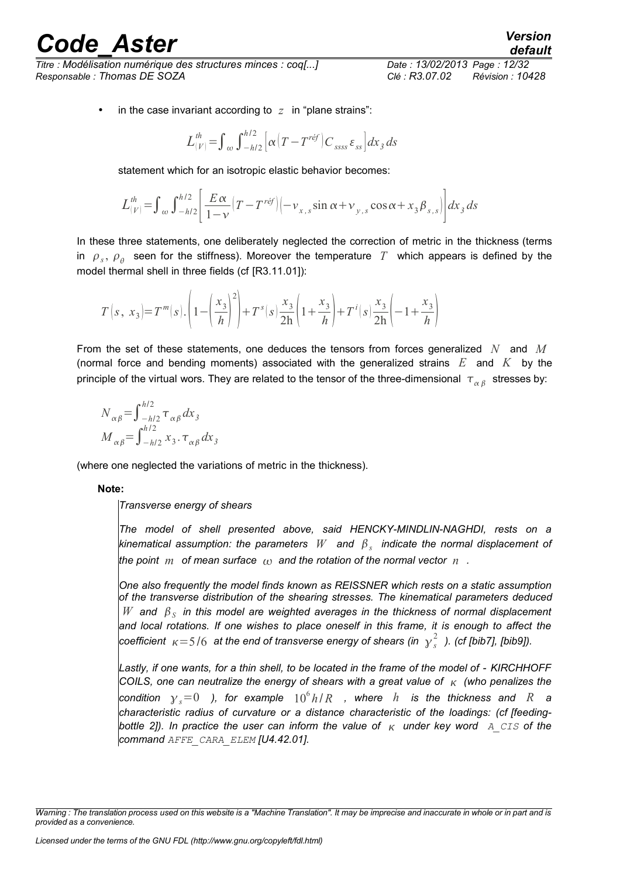*Titre : Modélisation numérique des structures minces : coq[...] Date : 13/02/2013 Page : 12/32 Responsable : Thomas DE SOZA Clé : R3.07.02 Révision : 10428*

*default*

in the case invariant according to  $z$  in "plane strains":

$$
L^{th}_{(V)}=\int_{\omega}\int_{-h/2}^{h/2}\Bigl[\alpha\bigl(T-T^{r\acute{e}f}\bigr)C_{\,ssss}\,\varepsilon_{ss}\Bigr]dx_{\,3}\,ds
$$

statement which for an isotropic elastic behavior becomes:

$$
L_{(V)}^{th} = \int_{\omega}^{\omega} \int_{-h/2}^{h/2} \left[ \frac{E \alpha}{1 - v} \left( T - T^{\text{ref}} \right) \left( -v_{x,s} \sin \alpha + v_{y,s} \cos \alpha + x_3 \beta_{s,s} \right) \right] dx_3 ds
$$

In these three statements, one deliberately neglected the correction of metric in the thickness (terms in  $\rho_s$ ,  $\rho_\theta$  seen for the stiffness). Moreover the temperature  $T$  which appears is defined by the model thermal shell in three fields (cf [R3.11.01]):

$$
T\left(s, x_3\right) = T^m(s) \cdot \left(1 - \left(\frac{x_3}{h}\right)^2\right) + T^s(s) \cdot \frac{x_3}{2h} \left(1 + \frac{x_3}{h}\right) + T^i(s) \cdot \frac{x_3}{2h} \left(-1 + \frac{x_3}{h}\right)
$$

From the set of these statements, one deduces the tensors from forces generalized *N* and *M* (normal force and bending moments) associated with the generalized strains *E* and *K* by the principle of the virtual wors. They are related to the tensor of the three-dimensional  $\|\tau_{\alpha\beta}\|$  stresses by:

$$
N_{\alpha\beta} = \int_{-h/2}^{h/2} \tau_{\alpha\beta} dx_3
$$
  

$$
M_{\alpha\beta} = \int_{-h/2}^{h/2} x_3 \cdot \tau_{\alpha\beta} dx_3
$$

(where one neglected the variations of metric in the thickness).

#### **Note:**

*Transverse energy of shears*

*The model of shell presented above, said HENCKY-MINDLIN-NAGHDI, rests on a kinematical assumption: the parameters W and <sup>s</sup> indicate the normal displacement of the point m of mean surface*  $\alpha$  and the rotation of the normal vector n.

*One also frequently the model finds known as REISSNER which rests on a static assumption of the transverse distribution of the shearing stresses. The kinematical parameters deduced*  $W$  and  $\beta_S$  in this model are weighted averages in the thickness of normal displacement *and local rotations. If one wishes to place oneself in this frame, it is enough to affect the coefficient* =5 /6 *at the end of transverse energy of shears (in <sup>s</sup>* 2  *). (cf [bib7], [bib9]).*

*Lastly, if one wants, for a thin shell, to be located in the frame of the model of - KIRCHHOFF COILS, one can neutralize the energy of shears with a great value of (who penalizes the*  $\mathbf{r}$  *condition*  $\gamma_{s}{=}0$  *), for example*  $10^{6}h/R$  *, where*  $h$  *is the thickness and*  $R$  *a characteristic radius of curvature or a distance characteristic of the loadings: (cf [feedingbottle 2]). In practice the user can inform the value of*  $_K$  under key word  $\bar{A}$  CIS of the *command AFFE\_CARA\_ELEM [U4.42.01].*

*Warning : The translation process used on this website is a "Machine Translation". It may be imprecise and inaccurate in whole or in part and is provided as a convenience.*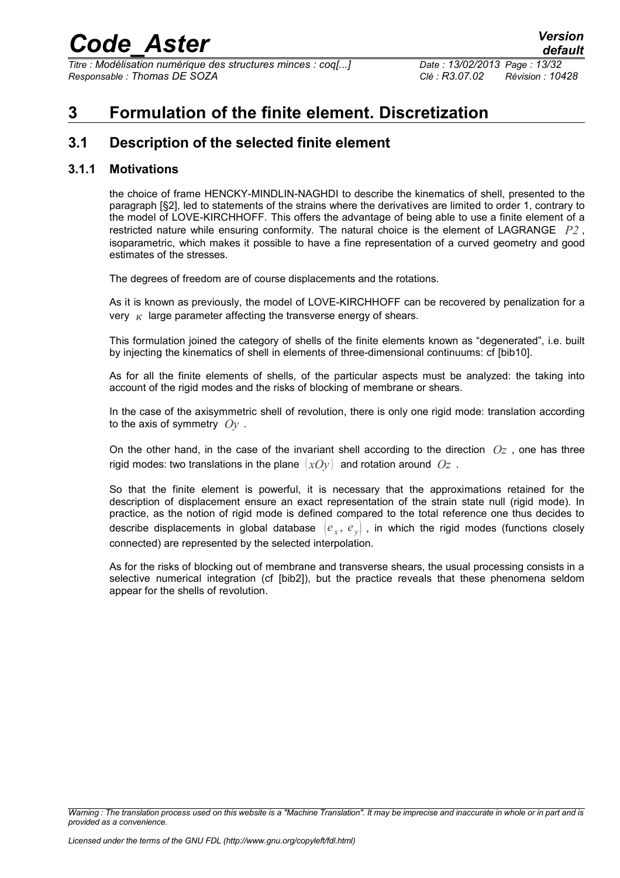*Titre : Modélisation numérique des structures minces : coq[...] Date : 13/02/2013 Page : 13/32 Responsable : Thomas DE SOZA Clé : R3.07.02 Révision : 10428*

### **3 Formulation of the finite element. Discretization**

### **3.1 Description of the selected finite element**

#### **3.1.1 Motivations**

the choice of frame HENCKY-MINDLIN-NAGHDI to describe the kinematics of shell, presented to the paragraph [§2], led to statements of the strains where the derivatives are limited to order 1, contrary to the model of LOVE-KIRCHHOFF. This offers the advantage of being able to use a finite element of a restricted nature while ensuring conformity. The natural choice is the element of LAGRANGE *P2* , isoparametric, which makes it possible to have a fine representation of a curved geometry and good estimates of the stresses.

The degrees of freedom are of course displacements and the rotations.

As it is known as previously, the model of LOVE-KIRCHHOFF can be recovered by penalization for a very  $\kappa$  large parameter affecting the transverse energy of shears.

This formulation joined the category of shells of the finite elements known as "degenerated", i.e. built by injecting the kinematics of shell in elements of three-dimensional continuums: cf [bib10].

As for all the finite elements of shells, of the particular aspects must be analyzed: the taking into account of the rigid modes and the risks of blocking of membrane or shears.

In the case of the axisymmetric shell of revolution, there is only one rigid mode: translation according to the axis of symmetry *Oy* .

On the other hand, in the case of the invariant shell according to the direction  $Oz$ , one has three rigid modes: two translations in the plane  $(xOy)$  and rotation around  $Oz$ .

So that the finite element is powerful, it is necessary that the approximations retained for the description of displacement ensure an exact representation of the strain state null (rigid mode). In practice, as the notion of rigid mode is defined compared to the total reference one thus decides to describe displacements in global database  $\ket{e_{_X},\,e_{_Y}}$  , in which the rigid modes (functions closely connected) are represented by the selected interpolation.

As for the risks of blocking out of membrane and transverse shears, the usual processing consists in a selective numerical integration (cf [bib2]), but the practice reveals that these phenomena seldom appear for the shells of revolution.

*Warning : The translation process used on this website is a "Machine Translation". It may be imprecise and inaccurate in whole or in part and is provided as a convenience.*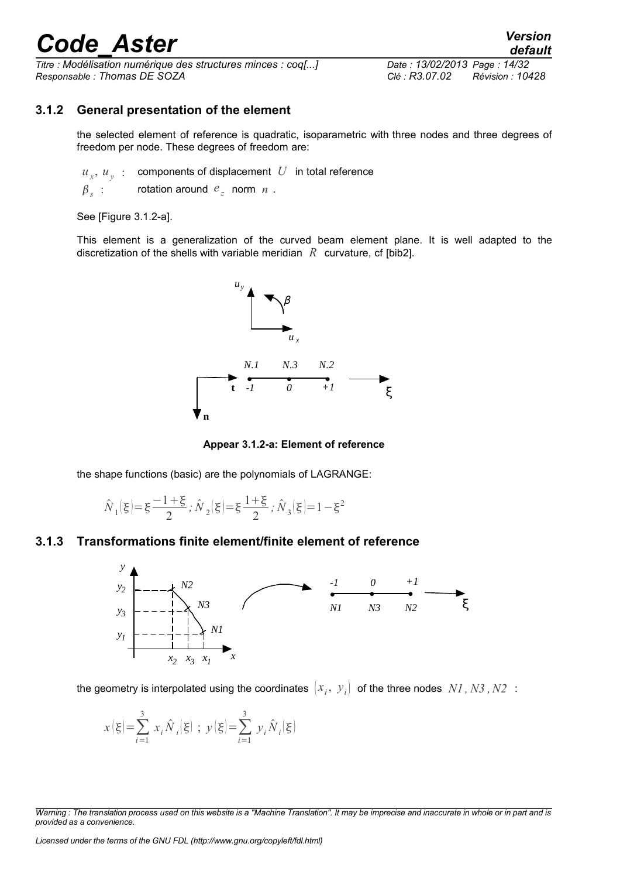*Titre : Modélisation numérique des structures minces : coq[...] Date : 13/02/2013 Page : 14/32 Responsable : Thomas DE SOZA Clé : R3.07.02 Révision : 10428*

#### **3.1.2 General presentation of the element**

the selected element of reference is quadratic, isoparametric with three nodes and three degrees of freedom per node. These degrees of freedom are:

 $u_x$ ,  $u_y$ : components of displacement *U* in total reference

 $\beta$ <sub>s</sub> :  $\therefore$  rotation around  $e_z$  norm  $n$ .

See [Figure 3.1.2-a].

This element is a generalization of the curved beam element plane. It is well adapted to the discretization of the shells with variable meridian *R* curvature, cf [bib2].



**Appear 3.1.2-a: Element of reference**

the shape functions (basic) are the polynomials of LAGRANGE:

$$
\hat{\cal N}_1(\xi)\hspace{-0.1cm}=\hspace{-0.1cm}\xi\hspace{-0.1cm}=\hspace{-0.1cm}\frac{1\hspace{-0.1cm}+\hspace{-0.1cm}\xi}{2}\hspace{-0.1cm};\hat{\cal N}_2(\xi)\hspace{-0.1cm}=\hspace{-0.1cm}\xi\hspace{-0.1cm}=\hspace{-0.1cm}\frac{1\hspace{-0.1cm}+\hspace{-0.1cm}\xi}{2}\hspace{-0.1cm};\hat{\cal N}_3(\xi)\hspace{-0.1cm}=\hspace{-0.1cm}1\hspace{-0.1cm}-\hspace{-0.1cm}\xi^2
$$

#### **3.1.3 Transformations finite element/finite element of reference**



the geometry is interpolated using the coordinates  $\big(x^{}_i,\; y^{}_i\big)$  of the three nodes  $\,NI$  ,  $N3$  ,  $N2\,$  :

$$
x\left(\xi\right) = \sum_{i=1}^{3} x_{i} \hat{N}_{i}\left(\xi\right) ; y\left(\xi\right) = \sum_{i=1}^{3} y_{i} \hat{N}_{i}\left(\xi\right)
$$

*Licensed under the terms of the GNU FDL (http://www.gnu.org/copyleft/fdl.html)*

*Warning : The translation process used on this website is a "Machine Translation". It may be imprecise and inaccurate in whole or in part and is provided as a convenience.*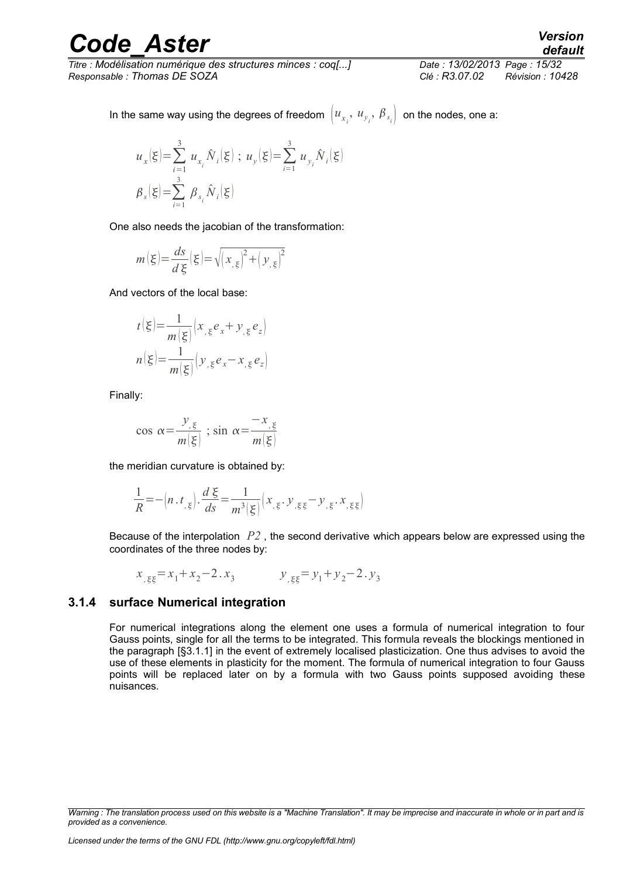*Titre : Modélisation numérique des structures minces : coq[...] Date : 13/02/2013 Page : 15/32 Responsable : Thomas DE SOZA Clé : R3.07.02 Révision : 10428*

In the same way using the degrees of freedom  $\left[u_{x_i},\ u_{y_i},\ \pmb{\beta}_{s_i}\right]$  on the nodes, one a:

$$
u_x(\xi) = \sum_{i=1}^3 u_{x_i} \hat{N}_i(\xi) ; u_y(\xi) = \sum_{i=1}^3 u_{y_i} \hat{N}_i(\xi)
$$
  

$$
\beta_s(\xi) = \sum_{i=1}^3 \beta_{s_i} \hat{N}_i(\xi)
$$

One also needs the jacobian of the transformation:

$$
m\left(\xi\right) = \frac{ds}{d\xi}\left(\xi\right) = \sqrt{\left(x_{,\xi}\right)^2 + \left(y_{,\xi}\right)^2}
$$

And vectors of the local base:

$$
t(\xi) = \frac{1}{m(\xi)} \Big( x_{,\xi} e_x + y_{,\xi} e_z \Big)
$$

$$
n(\xi) = \frac{1}{m(\xi)} \Big( y_{,\xi} e_x - x_{,\xi} e_z \Big)
$$

Finally:

$$
\cos \alpha = \frac{y_{,\xi}}{m(\xi)} \; ; \; \sin \alpha = \frac{-x_{,\xi}}{m(\xi)}
$$

the meridian curvature is obtained by:

$$
\frac{1}{R} = -\left(n \cdot t_{\xi}\right) \cdot \frac{d\xi}{ds} = \frac{1}{m^3 \left(\xi\right)} \left(x_{\xi} \cdot y_{\xi\xi} - y_{\xi} \cdot x_{\xi\xi}\right)
$$

Because of the interpolation *P2* , the second derivative which appears below are expressed using the coordinates of the three nodes by:

$$
x_{155} = x_1 + x_2 - 2 \cdot x_3 \qquad y_{155} = y_1 + y_2 - 2 \cdot y_3
$$

#### **3.1.4 surface Numerical integration**

For numerical integrations along the element one uses a formula of numerical integration to four Gauss points, single for all the terms to be integrated. This formula reveals the blockings mentioned in the paragraph [§3.1.1] in the event of extremely localised plasticization. One thus advises to avoid the use of these elements in plasticity for the moment. The formula of numerical integration to four Gauss points will be replaced later on by a formula with two Gauss points supposed avoiding these nuisances.

*Warning : The translation process used on this website is a "Machine Translation". It may be imprecise and inaccurate in whole or in part and is provided as a convenience.*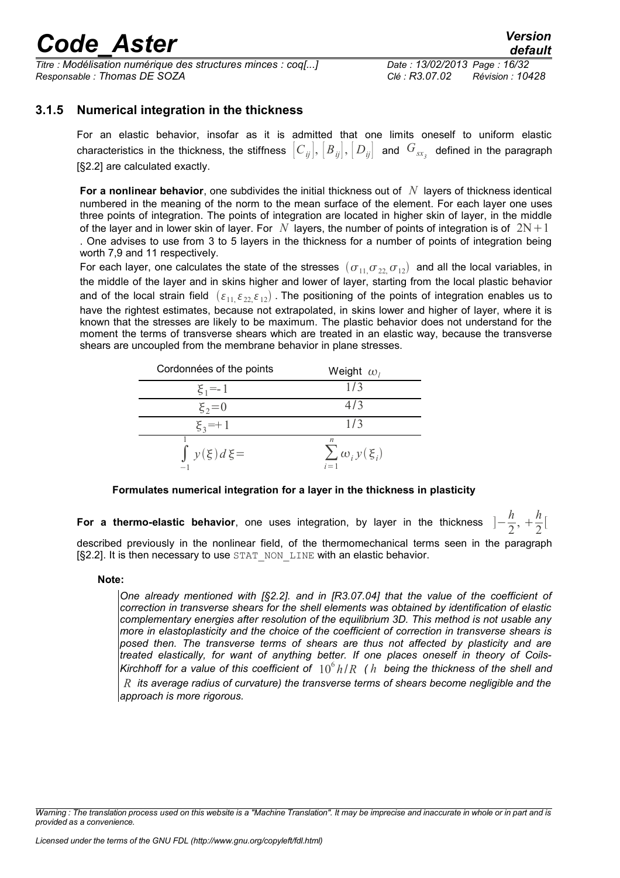*Titre : Modélisation numérique des structures minces : coq[...] Date : 13/02/2013 Page : 16/32 Responsable : Thomas DE SOZA Clé : R3.07.02 Révision : 10428*

#### **3.1.5 Numerical integration in the thickness**

For an elastic behavior, insofar as it is admitted that one limits oneself to uniform elastic characteristics in the thickness, the stiffness  $\big[C_{ij}\big], \big[B_{ij}\big], \big[D_{ij}\big]$  and  $\,G_{_{S\!X_j}}\,$  defined in the paragraph [§2.2] are calculated exactly.

**For a nonlinear behavior**, one subdivides the initial thickness out of *N* layers of thickness identical numbered in the meaning of the norm to the mean surface of the element. For each layer one uses three points of integration. The points of integration are located in higher skin of layer, in the middle of the layer and in lower skin of layer. For *N* layers, the number of points of integration is of  $2N+1$ . One advises to use from 3 to 5 layers in the thickness for a number of points of integration being worth 7,9 and 11 respectively.

For each layer, one calculates the state of the stresses  $(\sigma_{11},\sigma_{22},\sigma_{12})$  and all the local variables, in the middle of the layer and in skins higher and lower of layer, starting from the local plastic behavior and of the local strain field  $(\varepsilon_{11}, \varepsilon_{22}, \varepsilon_{12})$ . The positioning of the points of integration enables us to have the rightest estimates, because not extrapolated, in skins lower and higher of layer, where it is known that the stresses are likely to be maximum. The plastic behavior does not understand for the moment the terms of transverse shears which are treated in an elastic way, because the transverse shears are uncoupled from the membrane behavior in plane stresses.

| Cordonnées of the points | Weight $\omega_i$                      |
|--------------------------|----------------------------------------|
| $\xi_1 = -1$             | 1/3                                    |
| $\xi_2 = 0$              | 4/3                                    |
| $\xi_3 = +1$             | 1/3                                    |
| $\int y(\xi) d\xi$       | n<br>$\sum \omega_i y(\xi_i)$<br>$i=1$ |

#### **Formulates numerical integration for a layer in the thickness in plasticity**

For a thermo-elastic behavior, one uses integration, by layer in the thickness *h*  $\frac{h}{2}$ ,  $+\frac{h}{2}$  $\frac{\pi}{2}$ [ described previously in the nonlinear field, of the thermomechanical terms seen in the paragraph [§2.2]. It is then necessary to use STAT\_NON\_LINE with an elastic behavior.

#### **Note:**

*One already mentioned with [§2.2]. and in [R3.07.04] that the value of the coefficient of correction in transverse shears for the shell elements was obtained by identification of elastic complementary energies after resolution of the equilibrium 3D. This method is not usable any more in elastoplasticity and the choice of the coefficient of correction in transverse shears is posed then. The transverse terms of shears are thus not affected by plasticity and are treated elastically, for want of anything better. If one places oneself in theory of Coils-Kirchhoff for a value of this coefficient of*  $10^6$ *h*/*R* (*h* being the thickness of the shell and *R its average radius of curvature) the transverse terms of shears become negligible and the approach is more rigorous.*

*Warning : The translation process used on this website is a "Machine Translation". It may be imprecise and inaccurate in whole or in part and is provided as a convenience.*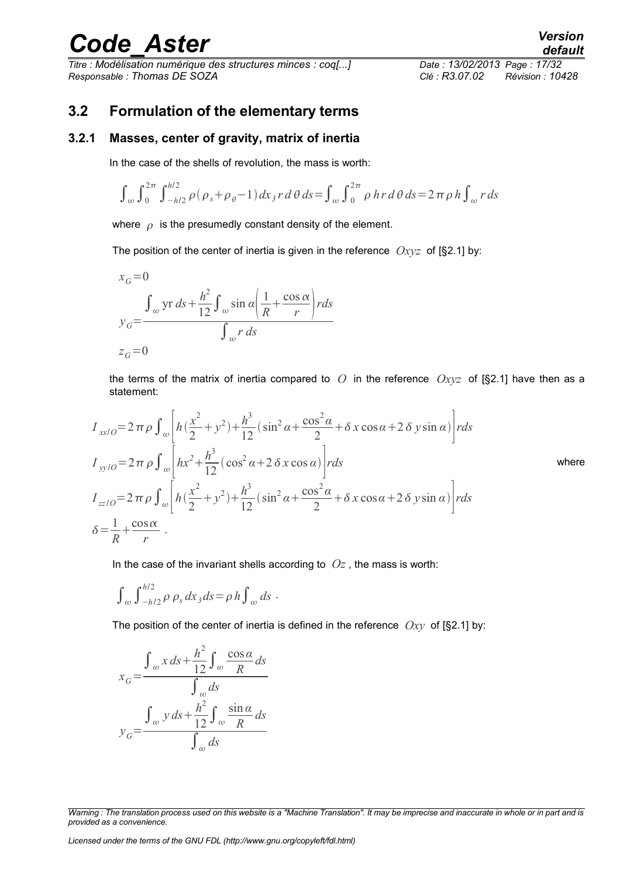*Titre : Modélisation numérique des structures minces : coq[...] Date : 13/02/2013 Page : 17/32 Responsable : Thomas DE SOZA Clé : R3.07.02 Révision : 10428*

### **3.2 Formulation of the elementary terms**

#### **3.2.1 Masses, center of gravity, matrix of inertia**

In the case of the shells of revolution, the mass is worth:

$$
\int_{\omega} \int_0^{2\pi} \int_{-h/2}^{h/2} \rho(\rho_s + \rho_\theta - 1) dx_3 r d\theta ds = \int_{\omega} \int_0^{2\pi} \rho \, hr \, d\theta \, ds = 2\pi \rho \, h \int_{\omega} r \, ds
$$

where  $\rho$  is the presumedly constant density of the element.

The position of the center of inertia is given in the reference *Oxyz* of [§2.1] by:

$$
x_G = 0
$$
  

$$
y_G = \frac{\int_{\omega} \text{yr } ds + \frac{h^2}{12} \int_{\omega} \sin \alpha \left( \frac{1}{R} + \frac{\cos \alpha}{r} \right) r ds}{\int_{\omega} r ds}
$$
  

$$
z_G = 0
$$

the terms of the matrix of inertia compared to *O* in the reference *Oxyz* of [§2.1] have then as a statement:

$$
I_{xx/O} = 2 \pi \rho \int_{\omega} \left[ h(\frac{x^2}{2} + y^2) + \frac{h^3}{12} (\sin^2 \alpha + \frac{\cos^2 \alpha}{2} + \delta x \cos \alpha + 2 \delta y \sin \alpha) \right] r ds
$$
  
\n
$$
I_{yy/O} = 2 \pi \rho \int_{\omega} \left[ h x^2 + \frac{h^3}{12} (\cos^2 \alpha + 2 \delta x \cos \alpha) \right] r ds
$$
where  
\n
$$
I_{zz/O} = 2 \pi \rho \int_{\omega} \left[ h(\frac{x^2}{2} + y^2) + \frac{h^3}{12} (\sin^2 \alpha + \frac{\cos^2 \alpha}{2} + \delta x \cos \alpha + 2 \delta y \sin \alpha) \right] r ds
$$
  
\n
$$
\delta = \frac{1}{R} + \frac{\cos \alpha}{r}.
$$

In the case of the invariant shells according to  $Oz$ , the mass is worth:

$$
\int_{\omega} \int_{-h/2}^{h/2} \rho \, \rho_s \, dx_3 \, ds = \rho \, h \int_{\omega} ds.
$$

The position of the center of inertia is defined in the reference *Oxy* of [§2.1] by:

$$
x_G = \frac{\int_{\omega} x \, ds + \frac{h^2}{12} \int_{\omega} \frac{\cos \alpha}{R} \, ds}{\int_{\omega} ds}
$$

$$
y_G = \frac{\int_{\omega} y \, ds + \frac{h^2}{12} \int_{\omega} \frac{\sin \alpha}{R} \, ds}{\int_{\omega} ds}
$$

*Licensed under the terms of the GNU FDL (http://www.gnu.org/copyleft/fdl.html)*

*Warning : The translation process used on this website is a "Machine Translation". It may be imprecise and inaccurate in whole or in part and is provided as a convenience.*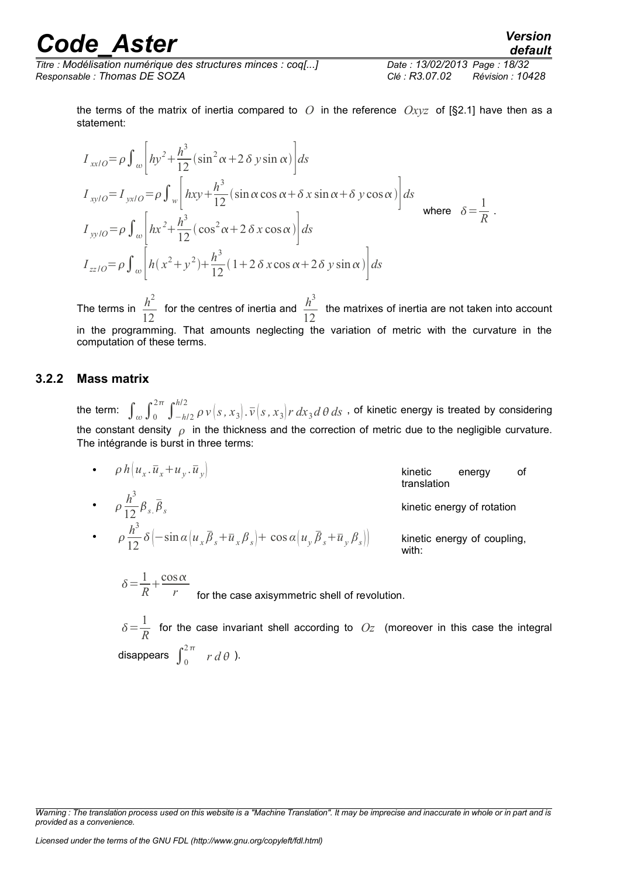*Titre : Modélisation numérique des structures minces : coq[...] Date : 13/02/2013 Page : 18/32 Responsable : Thomas DE SOZA Clé : R3.07.02 Révision : 10428*

*default*

$$
I_{xx/O} = \rho \int_{\omega} \left[ hy^2 + \frac{h^3}{12} (\sin^2 \alpha + 2 \delta y \sin \alpha) \right] ds
$$
  
\n
$$
I_{xy/O} = I_{yx/O} = \rho \int_{w} \left[ hxy + \frac{h^3}{12} (\sin \alpha \cos \alpha + \delta x \sin \alpha + \delta y \cos \alpha) \right] ds
$$
  
\nwhere  $\delta = \frac{1}{R}$ .  
\n
$$
I_{yy/O} = \rho \int_{\omega} \left[ hx^2 + \frac{h^3}{12} (\cos^2 \alpha + 2 \delta x \cos \alpha) \right] ds
$$
  
\n
$$
I_{zz/O} = \rho \int_{\omega} \left[ h(x^2 + y^2) + \frac{h^3}{12} (1 + 2 \delta x \cos \alpha + 2 \delta y \sin \alpha) \right] ds
$$

The terms in  $\frac{h^2}{\sqrt{2}}$ 12 for the centres of inertia and  $\frac{h^3}{4}$  $\frac{n}{12}$  the matrixes of inertia are not taken into account in the programming. That amounts neglecting the variation of metric with the curvature in the computation of these terms.

#### **3.2.2 Mass matrix**

the term:  $\int_{\omega} \int_0^{2\pi} \int_{-h/2}^{h/2} \rho\, \nu\left(s\,,x_3\right]$ .  $\overline{\nu}\left(s\,,x_3\right]$ r  $dx_3d\,\theta\,ds$  , of kinetic energy is treated by considering the constant density  $\rho$  in the thickness and the correction of metric due to the negligible curvature. The intégrande is burst in three terms:

•  $\rho h \left| u_x \cdot \overline{u}_x + u_y \right|$  $\overline{u}_y$   $\overline{u}_y$  of translation  $\cdot$   $\rho \frac{h^3}{12}$  $\frac{n}{12}\beta_{s.}\bar{\beta}_{s}$ kinetic energy of rotation •  $\rho \frac{h^3}{12}$  $\frac{n}{12} \delta \left( -\sin \alpha \left( u_x \overline{\beta}_s + \overline{u}_x \beta_s \right) + \cos \alpha \left( u_y \overline{\beta}_s + \overline{u}_y \right) \right)$ **kinetic energy of coupling,** with:

 $\delta = \frac{1}{R}$ *R*  $+\frac{\cos \alpha}{\cos \alpha}$  $r$  for the case axisymmetric shell of revolution.

 $\delta = \frac{1}{R}$  $\frac{1}{R}$  for the case invariant shell according to  $Oz$  (moreover in this case the integral disappears  $\int_0^{2\pi} r d\theta$  ).

*Warning : The translation process used on this website is a "Machine Translation". It may be imprecise and inaccurate in whole or in part and is provided as a convenience.*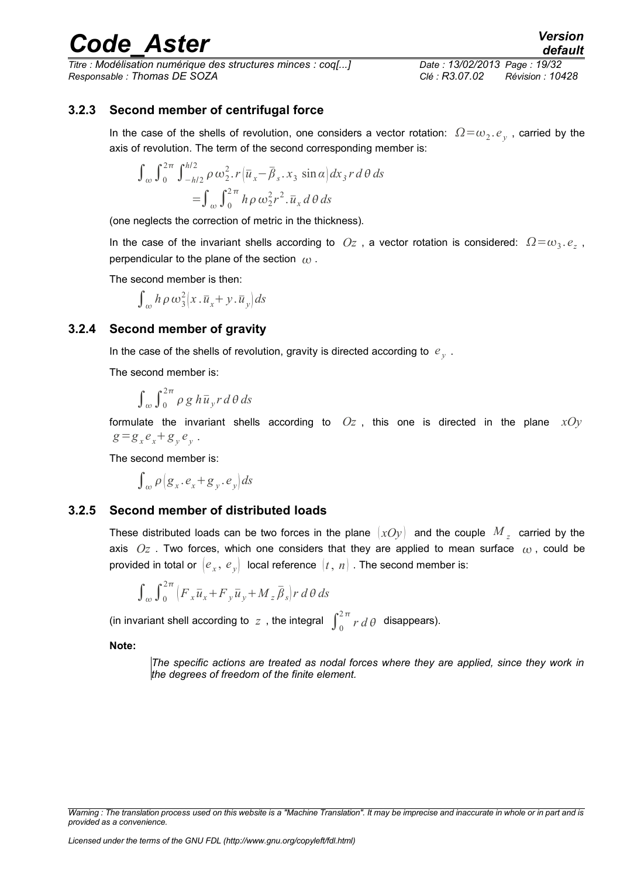*Titre : Modélisation numérique des structures minces : coq[...] Date : 13/02/2013 Page : 19/32 Responsable : Thomas DE SOZA Clé : R3.07.02 Révision : 10428*

*default*

#### **3.2.3 Second member of centrifugal force**

In the case of the shells of revolution, one considers a vector rotation:  $\Omega \!=\!\omega_2.\,e_y$  , carried by the axis of revolution. The term of the second corresponding member is:

$$
\int_{\omega} \int_0^{2\pi} \int_{-h/2}^{h/2} \rho \omega_2^2 \cdot r \left( \overline{u}_x - \overline{\beta}_s \cdot x_3 \sin \alpha \right) dx_3 r d\theta ds
$$
  
= 
$$
\int_{\omega} \int_0^{2\pi} h \rho \omega_2^2 r^2 \cdot \overline{u}_x d\theta ds
$$

(one neglects the correction of metric in the thickness).

In the case of the invariant shells according to  $Oz$  , a vector rotation is considered:  $\Omega = \omega_3 e_z$ , perpendicular to the plane of the section  $\omega$ .

The second member is then:

$$
\int_{\omega} h \, \rho \, \omega_3^2 \big( x \cdot \overline{u}_x + y \cdot \overline{u}_y \big) \, ds
$$

#### **3.2.4 Second member of gravity**

In the case of the shells of revolution, gravity is directed according to  $|e_{\hat{\textbf{y}}}|$ .

The second member is:

 $\int_{\omega} \int_{0}^{2\pi} \rho g h \overline{u}_{y} r d\theta ds$ 

formulate the invariant shells according to *Oz* , this one is directed in the plane *xOy*  $g = g_x e_x + g_y e_y$ .

The second member is:

 $\int_{\omega} \rho \left( g_x \cdot e_x + g_y \cdot e_y \right) ds$ 

#### **3.2.5 Second member of distributed loads**

These distributed loads can be two forces in the plane  $\,(xOy)\,$  and the couple  $\, {M}_{\,z}\,$  carried by the axis  $Oz$ . Two forces, which one considers that they are applied to mean surface  $\omega$ , could be provided in total or  $\bigl|e_{_{X}},\,e_{_{\mathcal{Y}}}\bigr\rangle$  local reference  $\bigl|t,\,n\bigr|$  . The second member is:

$$
\int_{\omega} \int_{0}^{2\pi} \left( F_x \overline{u}_x + F_y \overline{u}_y + M_z \overline{\beta}_s \right) r \, d\theta \, ds
$$

(in invariant shell according to  $z$  , the integral  $\int_0^{2\pi} r d\theta$  disappears).

**Note:**

*The specific actions are treated as nodal forces where they are applied, since they work in the degrees of freedom of the finite element.*

*Warning : The translation process used on this website is a "Machine Translation". It may be imprecise and inaccurate in whole or in part and is provided as a convenience.*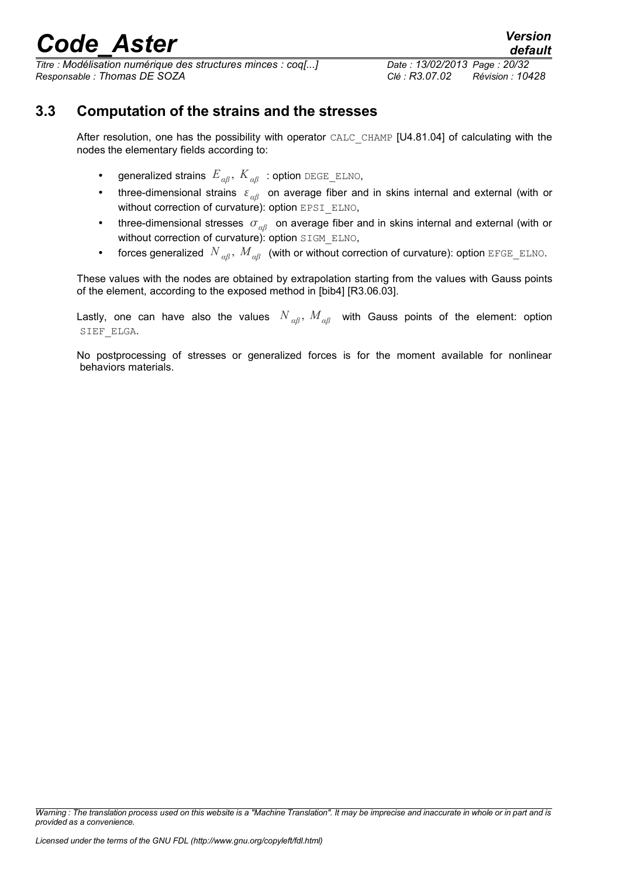*Titre : Modélisation numérique des structures minces : coq[...] Date : 13/02/2013 Page : 20/32 Responsable : Thomas DE SOZA Clé : R3.07.02 Révision : 10428*

### **3.3 Computation of the strains and the stresses**

After resolution, one has the possibility with operator CALC CHAMP [U4.81.04] of calculating with the nodes the elementary fields according to:

- generalized strains *Eαβ* , *Kαβ* : option DEGE\_ELNO,
- three-dimensional strains *αβ* on average fiber and in skins internal and external (with or without correction of curvature): option EPSI\_ELNO,
- three-dimensional stresses  $σ<sub>αβ</sub>$  on average fiber and in skins internal and external (with or without correction of curvature): option SIGM\_ELNO,
- forces generalized  $N_{\alpha\beta}$ ,  $M_{\alpha\beta}$  (with or without correction of curvature): option EFGE\_ELNO.

These values with the nodes are obtained by extrapolation starting from the values with Gauss points of the element, according to the exposed method in [bib4] [R3.06.03].

Lastly, one can have also the values *N αβ* , *Mαβ* with Gauss points of the element: option SIEF\_ELGA.

No postprocessing of stresses or generalized forces is for the moment available for nonlinear behaviors materials.

*Warning : The translation process used on this website is a "Machine Translation". It may be imprecise and inaccurate in whole or in part and is provided as a convenience.*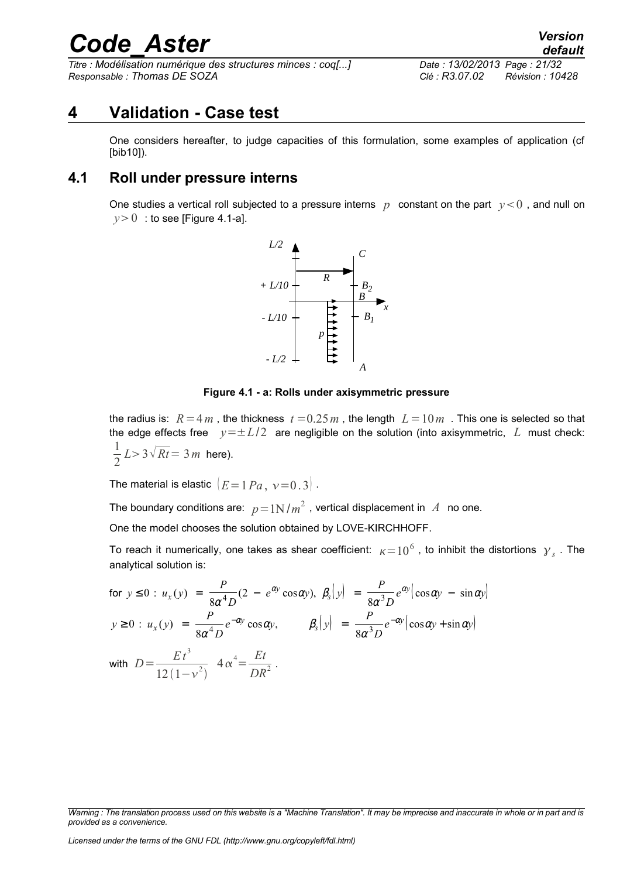*Titre : Modélisation numérique des structures minces : coq[...] Date : 13/02/2013 Page : 21/32 Responsable : Thomas DE SOZA Clé : R3.07.02 Révision : 10428*

### **4 Validation - Case test**

One considers hereafter, to judge capacities of this formulation, some examples of application (cf [bib10]).

### **4.1 Roll under pressure interns**

One studies a vertical roll subjected to a pressure interns  $p$  constant on the part  $y < 0$ , and null on  $y>0$  : to see [Figure 4.1-a].



**Figure 4.1 - a: Rolls under axisymmetric pressure**

the radius is:  $R=4m$ , the thickness  $t=0.25m$ , the length  $L=10m$ . This one is selected so that the edge effects free *y*=±*L*/2 are negligible on the solution (into axisymmetric, *L* must check: 1  $\frac{1}{2} L > 3 \sqrt{Rt} = 3 m$  here).

The material is elastic  $|E=1 Pa$ ,  $v=0.3$ .

The boundary conditions are:  $p\!=\!1\mathrm{N/m}^2$  , vertical displacement in  $\ A\;$  no one.

One the model chooses the solution obtained by LOVE-KIRCHHOFF.

To reach it numerically, one takes as shear coefficient:  $\kappa \!=\! 10^6$  , to inhibit the distortions  $\,{\gamma}_{\,s}$  . The analytical solution is:

$$
\begin{aligned}\n\text{for } y \le 0: \ u_x(y) &= \frac{P}{8\alpha^4 D} (2 - e^{\alpha y} \cos \alpha y), \ \beta_s(y) &= \frac{P}{8\alpha^3 D} e^{\alpha y} (\cos \alpha y - \sin \alpha y) \\
y \ge 0: \ u_x(y) &= \frac{P}{8\alpha^4 D} e^{-\alpha y} \cos \alpha y, \qquad \beta_s(y) &= \frac{P}{8\alpha^3 D} e^{-\alpha y} (\cos \alpha y + \sin \alpha y) \\
\text{with } D &= \frac{E t^3}{12 (1 - v^2)} \ 4 \alpha^4 = \frac{Et}{DR^2}.\n\end{aligned}
$$

*Licensed under the terms of the GNU FDL (http://www.gnu.org/copyleft/fdl.html)*

*Warning : The translation process used on this website is a "Machine Translation". It may be imprecise and inaccurate in whole or in part and is provided as a convenience.*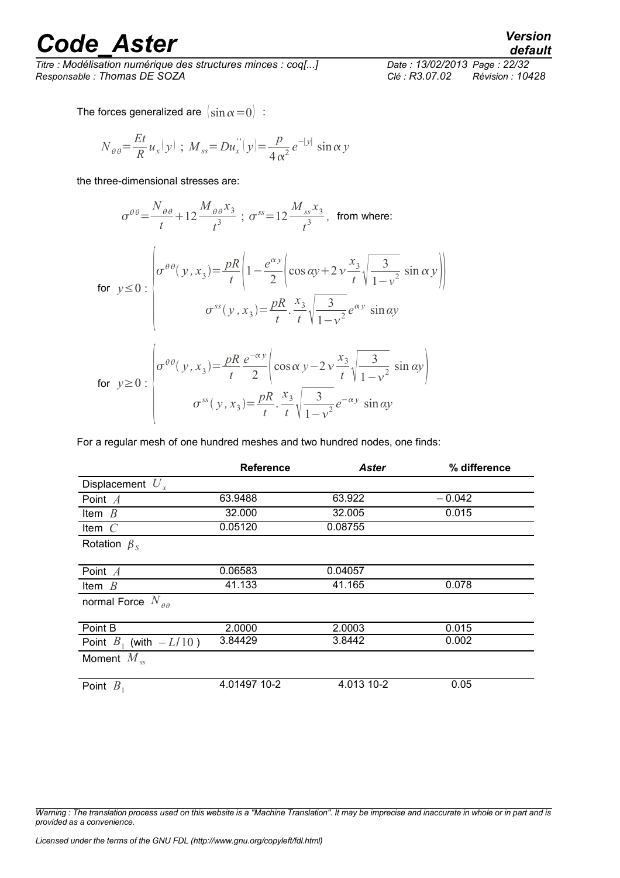*Titre : Modélisation numérique des structures minces : coq[...] Date : 13/02/2013 Page : 22/32 Responsable : Thomas DE SOZA Clé : R3.07.02 Révision : 10428*

*default*

The forces generalized are  $\left(\sin\alpha=0\right)$ :

$$
N_{\theta\theta} = \frac{Et}{R} u_x(y) \; ; \; M_{ss} = Du_x''(y) = \frac{p}{4\alpha^2} e^{-|y|} \sin \alpha \, y
$$

the three-dimensional stresses are:

$$
\sigma^{\theta\theta} = \frac{N_{\theta\theta}}{t} + 12 \frac{M_{\theta\theta} x_3}{t^3} \; ; \; \sigma^{ss} = 12 \frac{M_{ss} x_3}{t^3}, \text{ from where:}
$$
\n
$$
\text{for } y \le 0: \left| \sigma^{\theta\theta}(y, x_3) = \frac{pR}{t} \left( 1 - \frac{e^{\alpha y}}{2} \left( \cos \alpha y + 2 v \frac{x_3}{t} \sqrt{\frac{3}{1 - v^2}} \sin \alpha y \right) \right) \right|
$$
\n
$$
\sigma^{ss}(y, x_3) = \frac{pR}{t} \cdot \frac{x_3}{t} \sqrt{\frac{3}{1 - v^2}} e^{\alpha y} \sin \alpha y
$$
\n
$$
\text{for } y \ge 0: \left| \sigma^{\theta\theta}(y, x_3) = \frac{pR}{t} \frac{e^{-\alpha y}}{2} \left( \cos \alpha y - 2 v \frac{x_3}{t} \sqrt{\frac{3}{1 - v^2}} \sin \alpha y \right) \right|
$$
\n
$$
\sigma^{ss}(y, x_3) = \frac{pR}{t} \cdot \frac{x_3}{t} \sqrt{\frac{3}{1 - v^2}} e^{-\alpha y} \sin \alpha y
$$

For a regular mesh of one hundred meshes and two hundred nodes, one finds:

|                                 | <b>Reference</b> | <b>Aster</b> | % difference |
|---------------------------------|------------------|--------------|--------------|
| Displacement $U_{r}$            |                  |              |              |
| Point $A$                       | 63.9488          | 63.922       | $-0.042$     |
| Item $B$                        | 32.000           | 32.005       | 0.015        |
| Item $C$                        | 0.05120          | 0.08755      |              |
| Rotation $\beta_s$              |                  |              |              |
|                                 |                  |              |              |
| Point $A$                       | 0.06583          | 0.04057      |              |
| Item $B$                        | 41.133           | 41.165       | 0.078        |
| normal Force $N_{\theta\theta}$ |                  |              |              |
|                                 |                  |              |              |
| Point B                         | 2.0000           | 2.0003       | 0.015        |
| Point $B_1$ (with $-L/10$ )     | 3.84429          | 3.8442       | 0.002        |
| Moment $M_{ss}$                 |                  |              |              |
|                                 |                  |              |              |
| Point $B_1$                     | 4.01497 10-2     | 4.013 10-2   | 0.05         |

*Warning : The translation process used on this website is a "Machine Translation". It may be imprecise and inaccurate in whole or in part and is provided as a convenience.*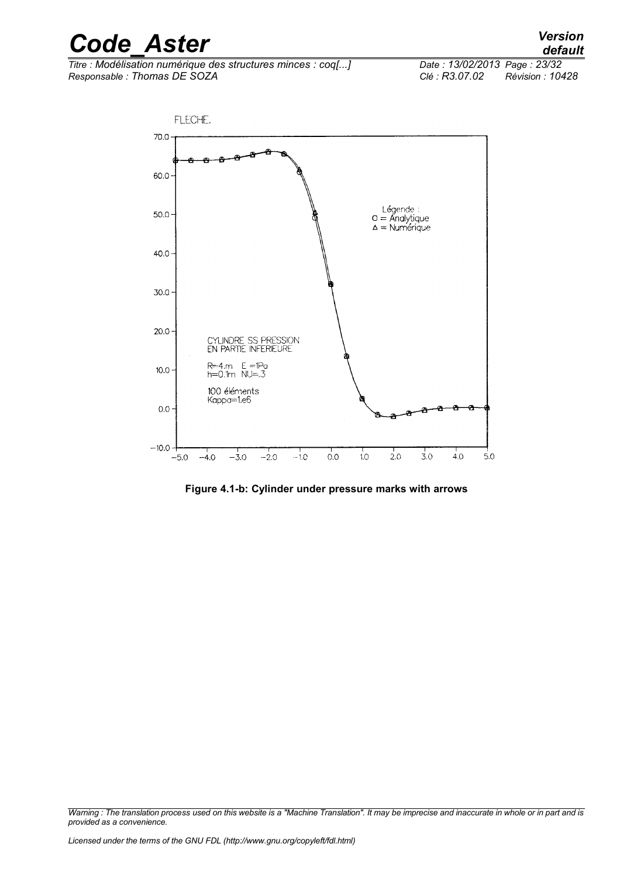| <b>Code Aster</b> | <b>Version</b> |
|-------------------|----------------|
|                   | default        |

*Titre : Modélisation numérique des structures minces : coq[...] Date : 13/02/2014 Page : 7homas DE SOZA Clé : R3.07.02 Responsable : Thomas DE SOZA Clé : R3.07.02 Révision : 10428*

*default*



**Figure 4.1-b: Cylinder under pressure marks with arrows**

*Warning : The translation process used on this website is a "Machine Translation". It may be imprecise and inaccurate in whole or in part and is provided as a convenience.*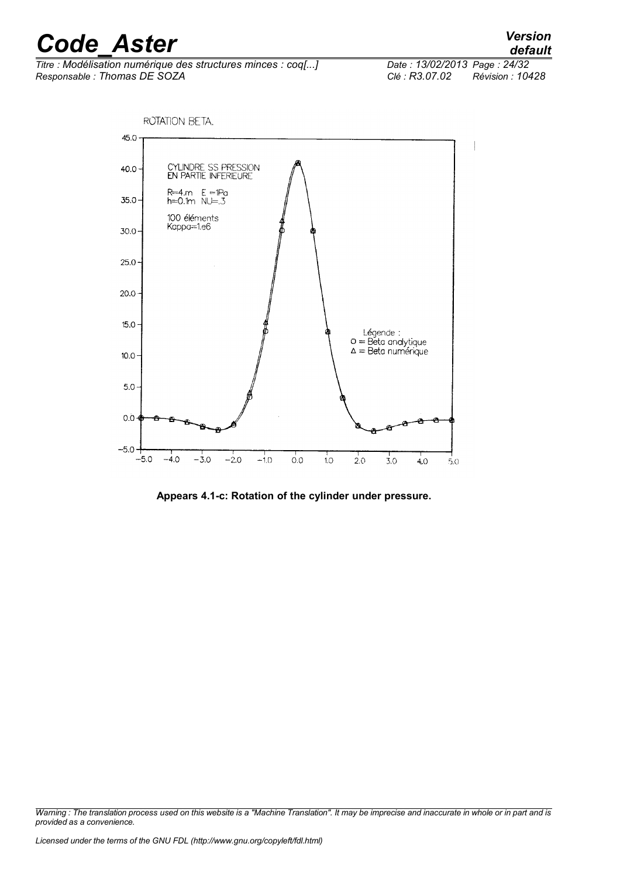*Titre : Modélisation numérique des structures minces : coq[...] Date : 13/02/2013 Page : 24/32 Responsable : Thomas DE SOZA Clé : R3.07.02 Révision : 10428*

*default*



**Appears 4.1-c: Rotation of the cylinder under pressure.**

*Warning : The translation process used on this website is a "Machine Translation". It may be imprecise and inaccurate in whole or in part and is provided as a convenience.*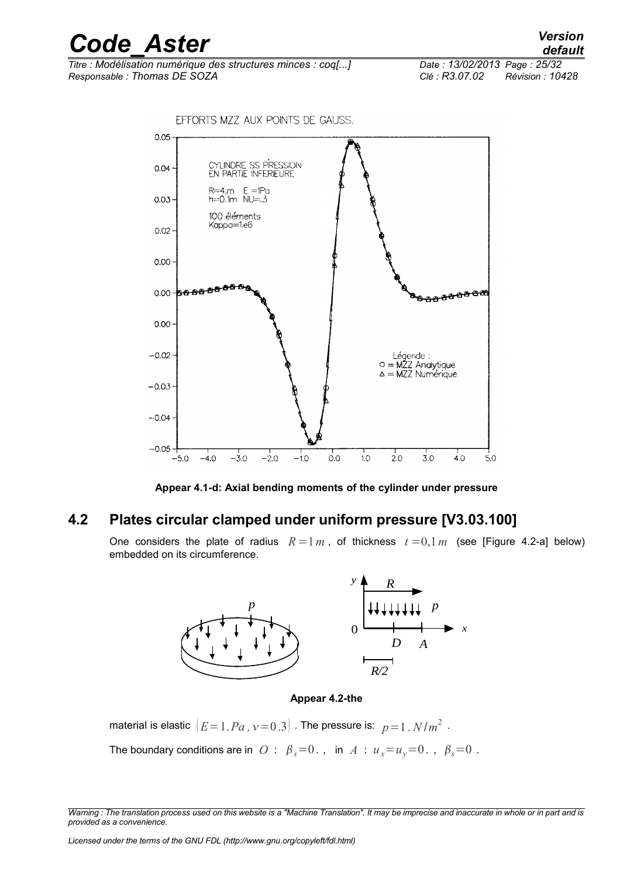*Titre : Modélisation numérique des structures minces : coq[...] Date : 13/02/2013 Page : 25/32 Responsable : Thomas DE SOZA Clé : R3.07.02 Révision : 10428*



**Appear 4.1-d: Axial bending moments of the cylinder under pressure**

### **4.2 Plates circular clamped under uniform pressure [V3.03.100]**

One considers the plate of radius  $R=1 m$ , of thickness  $t=0,1 m$  (see [Figure 4.2-a] below) embedded on its circumference.



#### **Appear 4.2-the**

material is elastic  $\left( E\!=\!1.Pa$  ,  $\!nu\!=\!0.3 \right]$  . The pressure is:  $\;p\!=\!1$  .  $N/m^2$  .

The boundary conditions are in  $\overline{O}$  :  $\beta_s = 0$ ., in  $\overline{A}$  :  $u_x = u_y = 0$ .,  $\beta_s = 0$ .

*Warning : The translation process used on this website is a "Machine Translation". It may be imprecise and inaccurate in whole or in part and is provided as a convenience.*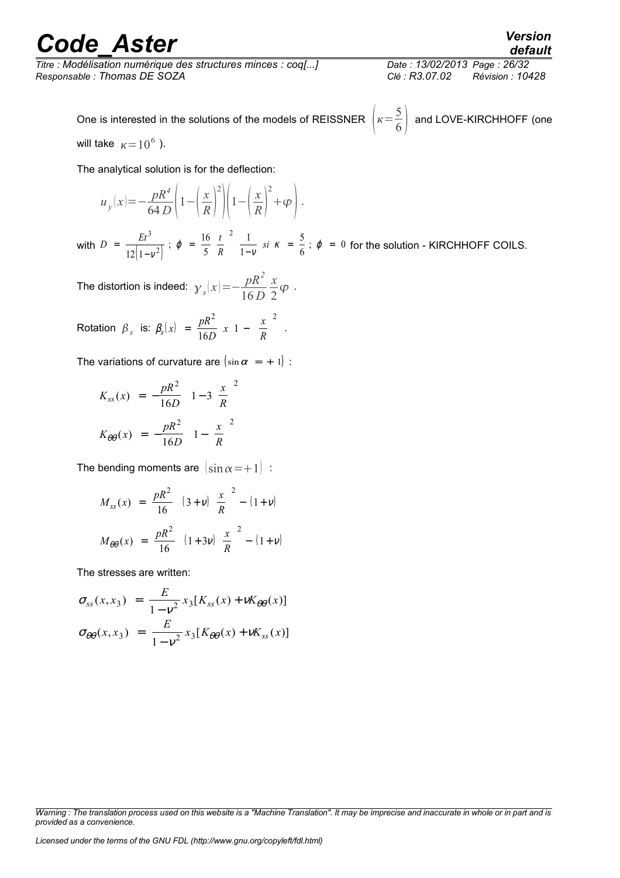*Titre : Modélisation numérique des structures minces : coq[...] Date : 13/02/2013 Page : 26/32 Responsable : Thomas DE SOZA Clé : R3.07.02 Révision : 10428*

One is interested in the solutions of the models of REISSNER 
$$
\left(\kappa = \frac{5}{6}\right)
$$
 and LOVE-KIRCHHOFF (one)

will take  $\kappa=10^6$  ).

The analytical solution is for the deflection:

$$
u_y(x) = -\frac{pR^4}{64 D} \left( 1 - \left(\frac{x}{R}\right)^2 \right) \left( 1 - \left(\frac{x}{R}\right)^2 + \varphi \right).
$$

with  $\left| \begin{array}{cc} 1 - v \\ \end{array} \right|$  $D = \frac{Et^3}{(1-2i)^2}$ ;  $\varphi = \frac{16}{5} \left( \frac{t}{t} \right)$  $= \frac{1}{2(1-v^2)}$ ;  $\varphi = \frac{1}{5}(\frac{1}{R})$   $\frac{1}{1-v}$  *si*  $\kappa = \frac{1}{6}$ ; −  $=\frac{16}{5}$  $\left(\frac{t}{R}\right)$  $\int \frac{1}{1-v} \, si \, \kappa \, = \, \frac{1}{6} \, ; \, \varphi \, = \,$ 3 2 2  $12|1$ 16 5 1 1 5  $\frac{1}{\sqrt{2}}$ ;  $\varphi = \frac{1}{5} \left( \frac{1}{R} \right)$   $\frac{1}{1-\sqrt{2}}$  si  $\kappa = \frac{1}{6}$ ;  $\varphi = 0$  for the solution - KIRCHHOFF COILS.

The distortion is indeed:  $\gamma_{s}(x) \!=\! -\frac{pR^2}{16D}$ 16 *D x* 2  $\varphi$ .

Rotation  $\beta_s$  is:  $\beta_s(x) = \frac{pR}{16}$  $\frac{R^2}{D}$   $x \left(1 - \left(\frac{x}{R}\right)\right)$  $=\frac{pR^2}{16D}$   $x \left(1 - \left(\frac{x}{R}\right)\right)$  $\left(\frac{x}{R}\right)$  $\bigg)$ ſ ∖ I  $\overline{\phantom{a}}$  $\big)$  2  $\left( \frac{\mu}{2} \right)^2$  $\frac{P}{16D}$   $x \left(1 - \left(\frac{\pi}{R}\right)\right)$ .

The variations of curvature are  $(\sin \alpha = + 1)$ :

$$
K_{ss}(x) = -\frac{pR^2}{16D} \left( 1 - 3\left(\frac{x}{R}\right)^2 \right)
$$

$$
K_{\theta\theta}(x) = -\frac{pR^2}{16D} \left( 1 - \left(\frac{x}{R}\right)^2 \right)
$$

The bending moments are  $\left(\sin \alpha=+1\right)$ :

$$
M_{ss}(x) = \frac{pR^2}{16} \left( (3+v) \left( \frac{x}{R} \right)^2 - (1+v) \right)
$$
  

$$
M_{\theta\theta}(x) = \frac{pR^2}{16} \left( (1+3v) \left( \frac{x}{R} \right)^2 - (1+v) \right)
$$

The stresses are written:

$$
\sigma_{ss}(x, x_3) = \frac{E}{1 - v^2} x_3 [K_{ss}(x) + vK_{\theta\theta}(x)]
$$

$$
\sigma_{\theta\theta}(x, x_3) = \frac{E}{1 - v^2} x_3 [K_{\theta\theta}(x) + vK_{ss}(x)]
$$

*Warning : The translation process used on this website is a "Machine Translation". It may be imprecise and inaccurate in whole or in part and is provided as a convenience.*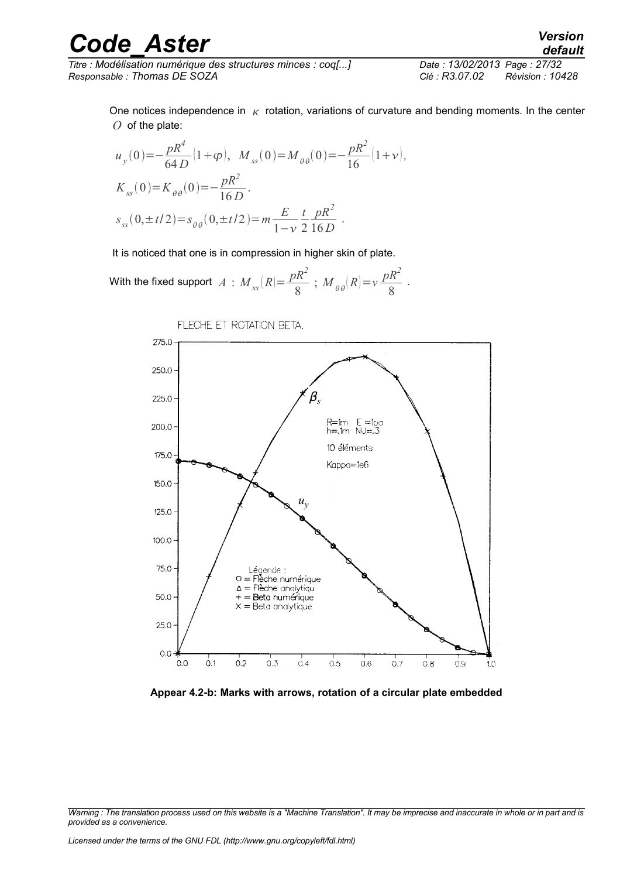*Titre : Modélisation numérique des structures minces : coq[...] Date : 13/02/2013 Page : 27/32 Responsable : Thomas DE SOZA Clé : R3.07.02 Révision : 10428*

One notices independence in  $\kappa$  rotation, variations of curvature and bending moments. In the center *O* of the plate:

$$
u_{y}(0) = -\frac{pR^{4}}{64 D} (1 + \varphi), \quad M_{ss}(0) = M_{\theta\theta}(0) = -\frac{pR^{2}}{16} (1 + \nu),
$$
  
\n
$$
K_{ss}(0) = K_{\theta\theta}(0) = -\frac{pR^{2}}{16 D}.
$$
  
\n
$$
s_{ss}(0, \pm t/2) = s_{\theta\theta}(0, \pm t/2) = m \frac{E}{1 - \nu} \frac{t}{2} \frac{pR^{2}}{16 D}.
$$

It is noticed that one is in compression in higher skin of plate.

With the fixed support 
$$
A : M_{ss}(R) = \frac{pR^2}{8}
$$
;  $M_{\theta\theta}(R) = v\frac{pR^2}{8}$ .



**Appear 4.2-b: Marks with arrows, rotation of a circular plate embedded**

*Warning : The translation process used on this website is a "Machine Translation". It may be imprecise and inaccurate in whole or in part and is provided as a convenience.*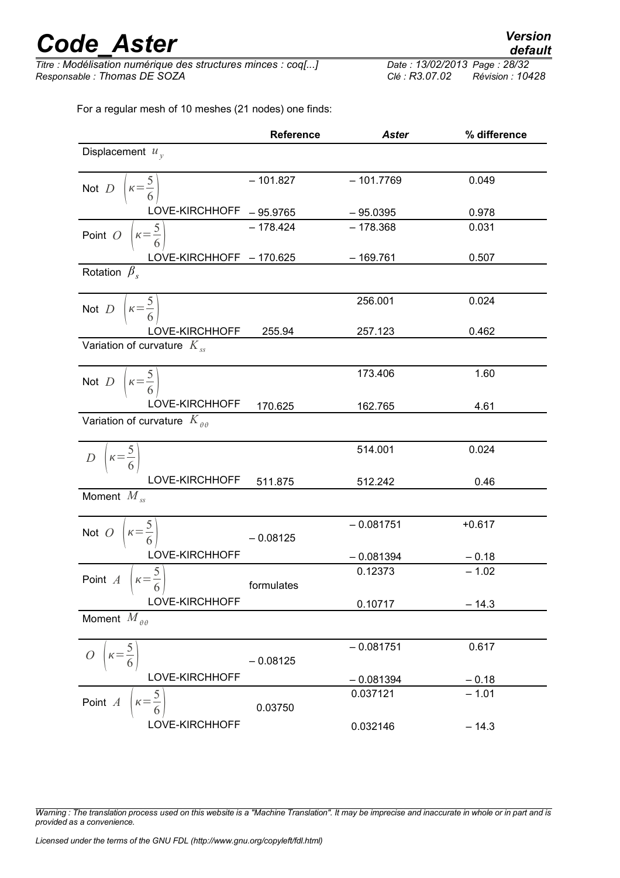*Titre : Modélisation numérique des structures minces : coq[...] Date : 13/02/2013 Page : 28/32 Responsable : Thomas DE SOZA Clé : R3.07.02 Révision : 10428*

For a regular mesh of 10 meshes (21 nodes) one finds:

|                                                       | <b>Reference</b> | <b>Aster</b> | % difference |  |
|-------------------------------------------------------|------------------|--------------|--------------|--|
| Displacement $u_v$                                    |                  |              |              |  |
| $\kappa = \frac{5}{6}$<br>Not $D$                     | $-101.827$       | $-101.7769$  | 0.049        |  |
| LOVE-KIRCHHOFF                                        | $-95.9765$       | $-95.0395$   | 0.978        |  |
| $\kappa = \frac{5}{6}$<br>Point $O$                   | $-178.424$       | $-178.368$   | 0.031        |  |
| LOVE-KIRCHHOFF - 170.625                              |                  | $-169.761$   | 0.507        |  |
| Rotation $\beta$ .                                    |                  |              |              |  |
| $\kappa = \frac{5}{6}$<br>Not $D$                     |                  | 256.001      | 0.024        |  |
| LOVE-KIRCHHOFF                                        | 255.94           | 257.123      | 0.462        |  |
| Variation of curvature $K_{ss}$                       |                  |              |              |  |
| $\kappa = \frac{5}{6}$<br>Not $D$                     |                  | 173.406      | 1.60         |  |
| LOVE-KIRCHHOFF                                        | 170.625          | 162.765      | 4.61         |  |
| Variation of curvature $K_{\theta\theta}$             |                  |              |              |  |
| $\left(\kappa=\frac{5}{6}\right)$<br>$\boldsymbol{D}$ |                  | 514.001      | 0.024        |  |
| LOVE-KIRCHHOFF                                        | 511.875          | 512.242      | 0.46         |  |
| Moment $M_{ss}$                                       |                  |              |              |  |
| $\kappa = \frac{5}{6}$<br>Not $O$                     | $-0.08125$       | $-0.081751$  | $+0.617$     |  |
| LOVE-KIRCHHOFF                                        |                  | $-0.081394$  | $-0.18$      |  |
| $k = \frac{5}{5}$<br>Point $A$                        | formulates       | 0.12373      | $-1.02$      |  |
| LOVE-KIRCHHOFF                                        |                  | 0.10717      | $-14.3$      |  |
| Moment $M_{\theta\theta}$                             |                  |              |              |  |
| $\theta$                                              | $-0.08125$       | $-0.081751$  | 0.617        |  |
| LOVE-KIRCHHOFF                                        |                  | $-0.081394$  | $-0.18$      |  |
| $\frac{5}{1}$<br>Point A<br>$\kappa =$                | 0.03750          | 0.037121     | $-1.01$      |  |
| LOVE-KIRCHHOFF                                        |                  | 0.032146     | $-14.3$      |  |

*Warning : The translation process used on this website is a "Machine Translation". It may be imprecise and inaccurate in whole or in part and is provided as a convenience.*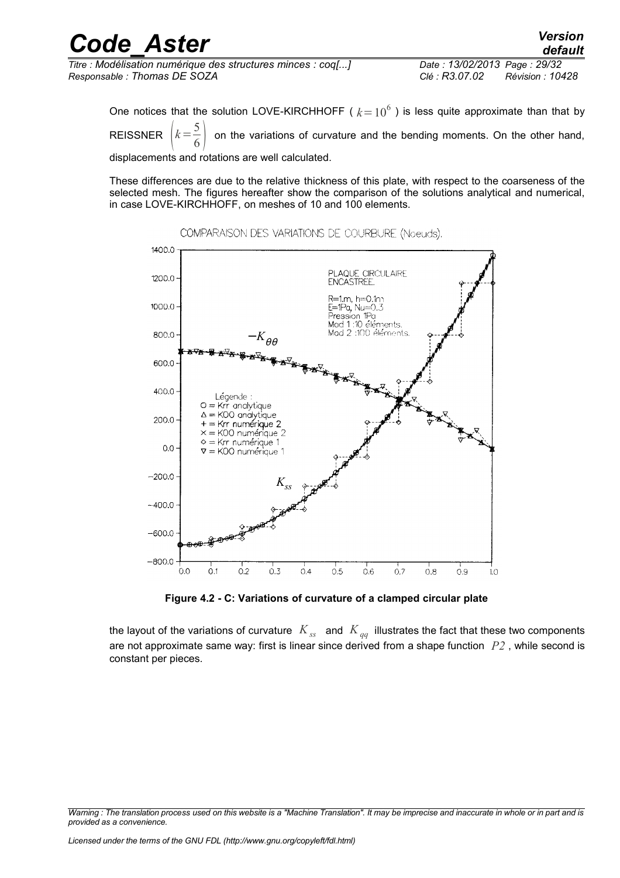| <b>Code Aster</b>                                            | <b>Version</b><br>default          |
|--------------------------------------------------------------|------------------------------------|
| Titre : Modélisation numérique des structures minces : coq[] | Date: 13/02/2013 Page: 29/32       |
| Responsable : Thomas DE SOZA                                 | Clé : R3.07.02<br>Révision : 10428 |
|                                                              |                                    |

One notices that the solution LOVE-KIRCHHOFF (  $k$   $=$   $10^6$  ) is less quite approximate than that by REISSNER  $k=\frac{5}{6}$  $\overline{6}$ on the variations of curvature and the bending moments. On the other hand,

displacements and rotations are well calculated.

These differences are due to the relative thickness of this plate, with respect to the coarseness of the selected mesh. The figures hereafter show the comparison of the solutions analytical and numerical, in case LOVE-KIRCHHOFF, on meshes of 10 and 100 elements.



COMPARAISON DES VARIATIONS DE COURBURE (Noeuds).

**Figure 4.2 - C: Variations of curvature of a clamped circular plate**

the layout of the variations of curvature *Kss* and *K qq* illustrates the fact that these two components are not approximate same way: first is linear since derived from a shape function *P2* , while second is constant per pieces.

*Warning : The translation process used on this website is a "Machine Translation". It may be imprecise and inaccurate in whole or in part and is provided as a convenience.*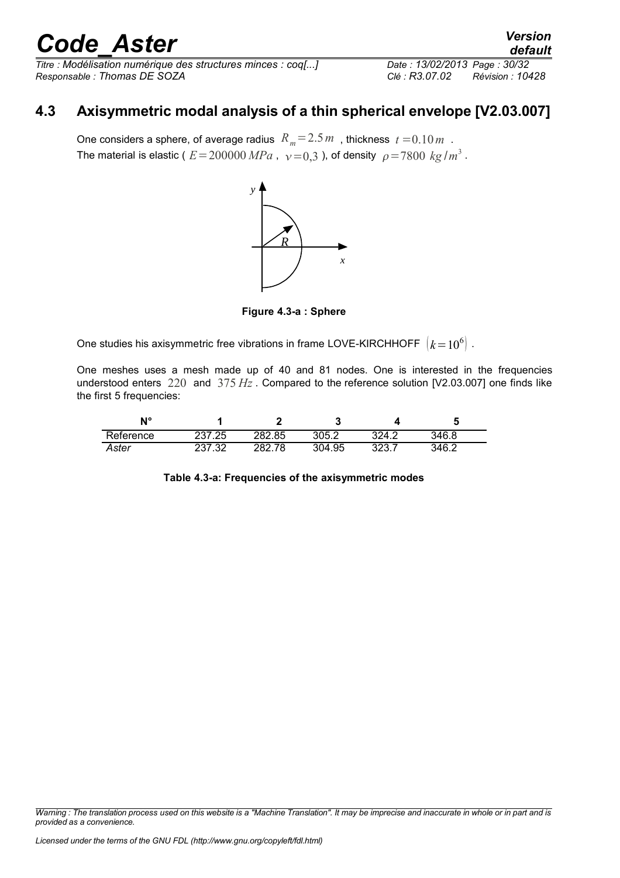*Titre : Modélisation numérique des structures minces : coq[...] Date : 13/02/2013 Page : 30/32 Responsable : Thomas DE SOZA Clé : R3.07.02 Révision : 10428*

### **4.3 Axisymmetric modal analysis of a thin spherical envelope [V2.03.007]**

One considers a sphere, of average radius  $R_m = 2.5 m$ , thickness  $t = 0.10 m$ . The material is elastic (  $E\!=\!200000\,MPa$  ,  $\,\,\nu\!=\!0,3$  ), of density  $\,\,\rho\!=\!7800\,$   $kg$  /  $m^3$  .



**Figure 4.3-a : Sphere**

One studies his axisymmetric free vibrations in frame LOVE-KIRCHHOFF  $\; \left| k\!=\!10^{6} \right|$  .

One meshes uses a mesh made up of 40 and 81 nodes. One is interested in the frequencies understood enters 220 and 375 *Hz* . Compared to the reference solution [V2.03.007] one finds like the first 5 frequencies:

| N°        |        |              | ື      |               |       |
|-----------|--------|--------------|--------|---------------|-------|
| Reference | 237.25 | 282.85       | 305.2  | 324.2         | 346.8 |
| Aster     | רב דבר | 282.7<br>.78 | 304.95 | າລາ<br>، ں ےں | 346.2 |

|  |  |  | Table 4.3-a: Frequencies of the axisymmetric modes |  |
|--|--|--|----------------------------------------------------|--|
|--|--|--|----------------------------------------------------|--|

*Warning : The translation process used on this website is a "Machine Translation". It may be imprecise and inaccurate in whole or in part and is provided as a convenience.*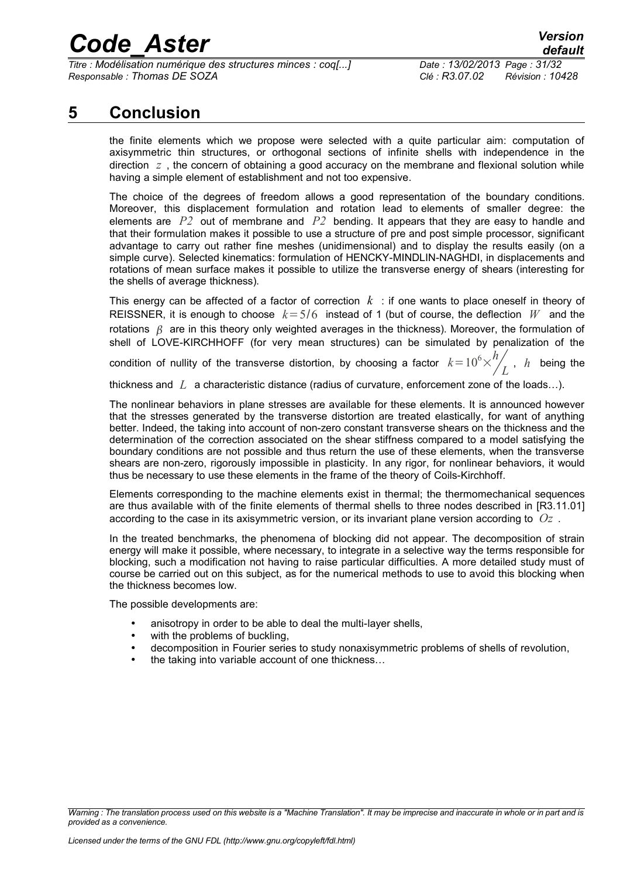*Titre : Modélisation numérique des structures minces : coq[...] Date : 13/02/2013 Page : 31/32 Responsable : Thomas DE SOZA Clé : R3.07.02 Révision : 10428*

### **5 Conclusion**

the finite elements which we propose were selected with a quite particular aim: computation of axisymmetric thin structures, or orthogonal sections of infinite shells with independence in the direction  $z$ , the concern of obtaining a good accuracy on the membrane and flexional solution while having a simple element of establishment and not too expensive.

The choice of the degrees of freedom allows a good representation of the boundary conditions. Moreover, this displacement formulation and rotation lead to elements of smaller degree: the elements are *P2* out of membrane and *P2* bending. It appears that they are easy to handle and that their formulation makes it possible to use a structure of pre and post simple processor, significant advantage to carry out rather fine meshes (unidimensional) and to display the results easily (on a simple curve). Selected kinematics: formulation of HENCKY-MINDLIN-NAGHDI, in displacements and rotations of mean surface makes it possible to utilize the transverse energy of shears (interesting for the shells of average thickness).

This energy can be affected of a factor of correction *k* : if one wants to place oneself in theory of REISSNER, it is enough to choose  $k = 5/6$  instead of 1 (but of course, the deflection W and the rotations  $\beta$  are in this theory only weighted averages in the thickness). Moreover, the formulation of shell of LOVE-KIRCHHOFF (for very mean structures) can be simulated by penalization of the

condition of nullity of the transverse distortion, by choosing a factor  $k\!=\!10^6\!\times^h_\mathrm{A}$  $L$ <sup>,</sup>  $h$  being the

thickness and *L* a characteristic distance (radius of curvature, enforcement zone of the loads…).

The nonlinear behaviors in plane stresses are available for these elements. It is announced however that the stresses generated by the transverse distortion are treated elastically, for want of anything better. Indeed, the taking into account of non-zero constant transverse shears on the thickness and the determination of the correction associated on the shear stiffness compared to a model satisfying the boundary conditions are not possible and thus return the use of these elements, when the transverse shears are non-zero, rigorously impossible in plasticity. In any rigor, for nonlinear behaviors, it would thus be necessary to use these elements in the frame of the theory of Coils-Kirchhoff.

Elements corresponding to the machine elements exist in thermal; the thermomechanical sequences are thus available with of the finite elements of thermal shells to three nodes described in [R3.11.01] according to the case in its axisymmetric version, or its invariant plane version according to *Oz* .

In the treated benchmarks, the phenomena of blocking did not appear. The decomposition of strain energy will make it possible, where necessary, to integrate in a selective way the terms responsible for blocking, such a modification not having to raise particular difficulties. A more detailed study must of course be carried out on this subject, as for the numerical methods to use to avoid this blocking when the thickness becomes low.

The possible developments are:

- anisotropy in order to be able to deal the multi-layer shells,
- with the problems of buckling,
- decomposition in Fourier series to study nonaxisymmetric problems of shells of revolution,
- the taking into variable account of one thickness…

*Warning : The translation process used on this website is a "Machine Translation". It may be imprecise and inaccurate in whole or in part and is provided as a convenience.*